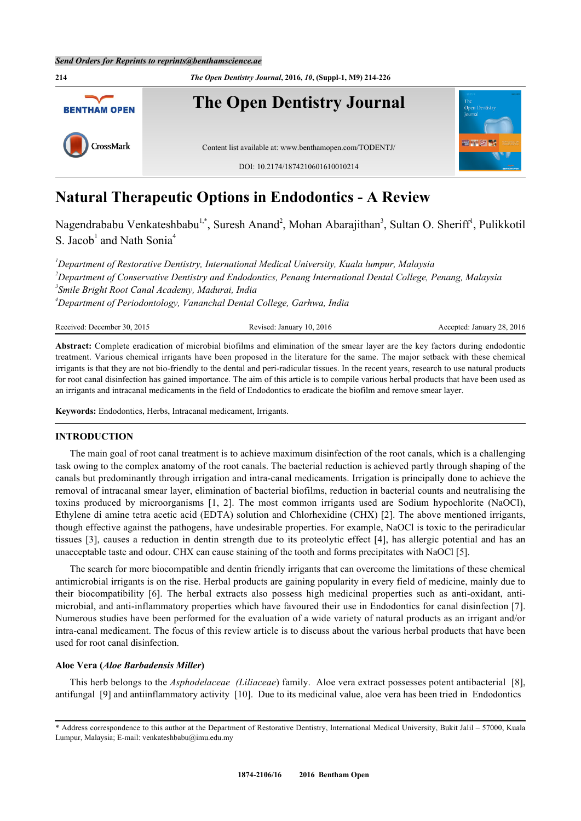

# **Natural Therapeutic Options in Endodontics - A Review**

Nagendrababu Venkateshbabu<sup>[1,](#page-0-0)[\\*](#page-0-1)</sup>, Suresh Anand<sup>[2](#page-0-2)</sup>, Mohan Abarajithan<sup>[3](#page-0-3)</sup>, Sultan O. Sheriff<sup>[1](#page-0-0)</sup>, Pulikkotil S. Jacob<sup>[1](#page-0-0)</sup> and Nath Sonia<sup>[4](#page-0-4)</sup>

<span id="page-0-3"></span><span id="page-0-2"></span><span id="page-0-0"></span>*Department of Restorative Dentistry, International Medical University, Kuala lumpur, Malaysia Department of Conservative Dentistry and Endodontics, Penang International Dental College, Penang, Malaysia Smile Bright Root Canal Academy, Madurai, India Department of Periodontology, Vananchal Dental College, Garhwa, India*

<span id="page-0-4"></span>Received: December 30, 2015 Revised: January 10, 2016 Accepted: January 28, 2016

**Abstract:** Complete eradication of microbial biofilms and elimination of the smear layer are the key factors during endodontic treatment. Various chemical irrigants have been proposed in the literature for the same. The major setback with these chemical irrigants is that they are not bio-friendly to the dental and peri-radicular tissues. In the recent years, research to use natural products for root canal disinfection has gained importance. The aim of this article is to compile various herbal products that have been used as an irrigants and intracanal medicaments in the field of Endodontics to eradicate the biofilm and remove smear layer.

**Keywords:** Endodontics, Herbs, Intracanal medicament, Irrigants.

# **INTRODUCTION**

The main goal of root canal treatment is to achieve maximum disinfection of the root canals, which is a challenging task owing to the complex anatomy of the root canals. The bacterial reduction is achieved partly through shaping of the canals but predominantly through irrigation and intra-canal medicaments. Irrigation is principally done to achieve the removal of intracanal smear layer, elimination of bacterial biofilms, reduction in bacterial counts and neutralising the toxins produced by microorganisms[[1](#page-5-0), [2](#page-5-1)]. The most common irrigants used are Sodium hypochlorite (NaOCl), Ethylene di amine tetra acetic acid (EDTA) solution and Chlorhexidine (CHX) [[2](#page-5-1)]. The above mentioned irrigants, though effective against the pathogens, have undesirable properties. For example, NaOCl is toxic to the periradicular tissues [\[3](#page-5-2)], causes a reduction in dentin strength due to its proteolytic effect [[4](#page-5-3)], has allergic potential and has an unacceptable taste and odour. CHX can cause staining of the tooth and forms precipitates with NaOCl [[5\]](#page-5-4).

The search for more biocompatible and dentin friendly irrigants that can overcome the limitations of these chemical antimicrobial irrigants is on the rise. Herbal products are gaining popularity in every field of medicine, mainly due to their biocompatibility[[6\]](#page-5-5). The herbal extracts also possess high medicinal properties such as anti-oxidant, antimicrobial, and anti-inflammatory properties which have favoured their use in Endodontics for canal disinfection [[7\]](#page-5-6). Numerous studies have been performed for the evaluation of a wide variety of natural products as an irrigant and/or intra-canal medicament. The focus of this review article is to discuss about the various herbal products that have been used for root canal disinfection.

### **Aloe Vera (***Aloe Barbadensis Miller***)**

This herb belongs to the *Asphodelaceae (Liliaceae*) family. Aloe vera extract possesses potent antibacterial [[8\]](#page-5-7), antifungal [[9\]](#page-5-8) and antiinflammatory activity [[10\]](#page-5-9). Due to its medicinal value, aloe vera has been tried in Endodontics

<span id="page-0-1"></span><sup>\*</sup> Address correspondence to this author at the Department of Restorative Dentistry, International Medical University, Bukit Jalil – 57000, Kuala Lumpur, Malaysia; E-mail: [venkateshbabu@imu.edu.my](mailto:venkateshbabu@imu.edu.my)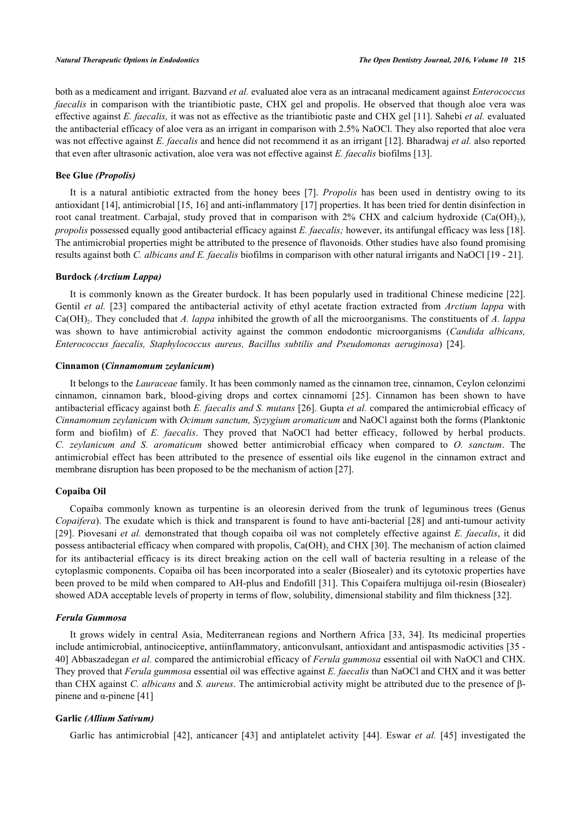both as a medicament and irrigant. Bazvand *et al.* evaluated aloe vera as an intracanal medicament against *Enterococcus faecalis* in comparison with the triantibiotic paste, CHX gel and propolis. He observed that though aloe vera was effective against *E. faecalis,* it was not as effective as the triantibiotic paste and CHX gel [\[11](#page-5-10)]. Sahebi *et al.* evaluated the antibacterial efficacy of aloe vera as an irrigant in comparison with 2.5% NaOCl. They also reported that aloe vera was not effective against *E. faecalis* and hence did not recommend it as an irrigant [[12\]](#page-5-11). Bharadwaj *et al.* also reported that even after ultrasonic activation, aloe vera was not effective against *E. faecalis* biofilms [\[13](#page-5-12)].

# **Bee Glue** *(Propolis)*

It is a natural antibiotic extracted from the honey bees [\[7\]](#page-5-6). *Propolis* has been used in dentistry owing to its antioxidant [[14\]](#page-5-13), antimicrobial [\[15](#page-5-14), [16](#page-5-15)] and anti-inflammatory [[17\]](#page-5-16) properties. It has been tried for dentin disinfection in root canal treatment. Carbajal, study proved that in comparison with 2% CHX and calcium hydroxide  $(Ca(OH)_2)$ , *propolis* possessed equally good antibacterial efficacy against *E. faecalis;* however, its antifungal efficacy was less [[18\]](#page-5-17). The antimicrobial properties might be attributed to the presence of flavonoids. Other studies have also found promising results against both *C. albicans and E. faecalis* biofilms in comparison with other natural irrigants and NaOCl [[19](#page-6-0) - [21\]](#page-6-1).

# **Burdock** *(Arctium Lappa)*

It is commonly known as the Greater burdock. It has been popularly used in traditional Chinese medicine [\[22\]](#page-6-2). Gentil *et al.* [[23](#page-6-3)] compared the antibacterial activity of ethyl acetate fraction extracted from *Arctium lappa* with Ca(OH)<sub>2</sub>. They concluded that *A. lappa* inhibited the growth of all the microorganisms. The constituents of *A. lappa* was shown to have antimicrobial activity against the common endodontic microorganisms (*Candida albicans, Enterococcus faecalis, Staphylococcus aureus, Bacillus subtilis and Pseudomonas aeruginosa*) [\[24](#page-6-4)].

# **Cinnamon (***Cinnamomum zeylanicum***)**

It belongs to the *Lauraceae* family. It has been commonly named as the cinnamon tree, cinnamon, Ceylon celonzimi cinnamon, cinnamon bark, blood-giving drops and cortex cinnamomi [\[25\]](#page-6-5). Cinnamon has been shown to have antibacterial efficacy against both *E. faecalis and S. mutans* [[26\]](#page-6-6). Gupta *et al.* compared the antimicrobial efficacy of *Cinnamomum zeylanicum* with *Ocimum sanctum, Syzygium aromaticum* and NaOCl against both the forms (Planktonic form and biofilm) of *E. faecalis*. They proved that NaOCl had better efficacy, followed by herbal products. *C. zeylanicum and S. aromaticum* showed better antimicrobial efficacy when compared to *O. sanctum*. The antimicrobial effect has been attributed to the presence of essential oils like eugenol in the cinnamon extract and membrane disruption has been proposed to be the mechanism of action [[27\]](#page-6-7).

#### **Copaiba Oil**

Copaiba commonly known as turpentine is an oleoresin derived from the trunk of leguminous trees (Genus *Copaifera*). The exudate which is thick and transparent is found to have anti-bacterial [[28\]](#page-6-8) and anti-tumour activity [\[29](#page-6-9)]. Piovesani *et al.* demonstrated that though copaiba oil was not completely effective against *E. faecalis*, it did possess antibacterial efficacy when compared with propolis,  $Ca(OH)_{2}$  and CHX [[30\]](#page-6-10). The mechanism of action claimed for its antibacterial efficacy is its direct breaking action on the cell wall of bacteria resulting in a release of the cytoplasmic components. Copaiba oil has been incorporated into a sealer (Biosealer) and its cytotoxic properties have been proved to be mild when compared to AH-plus and Endofill [\[31](#page-6-11)]. This Copaifera multijuga oil-resin (Biosealer) showed ADA acceptable levels of property in terms of flow, solubility, dimensional stability and film thickness [[32\]](#page-6-12).

# *Ferula Gummosa*

It grows widely in central Asia, Mediterranean regions and Northern Africa [\[33](#page-6-13), [34](#page-6-14)]. Its medicinal properties include antimicrobial, antinociceptive, antiinflammatory, anticonvulsant, antioxidant and antispasmodic activities [\[35](#page-6-15) - [40\]](#page-7-0) Abbaszadegan *et al.* compared the antimicrobial efficacy of *Ferula gummosa* essential oil with NaOCl and CHX. They proved that *Ferula gummosa* essential oil was effective against *E. faecalis* than NaOCl and CHX and it was better than CHX against *C. albicans* and *S. aureus*. The antimicrobial activity might be attributed due to the presence of β-pinene and α-pinene [[41\]](#page-7-1)

# **Garlic** *(Allium Sativum)*

Garlic has antimicrobial [\[42](#page-7-2)], anticancer[[43](#page-7-3)] and antiplatelet activity [\[44\]](#page-7-4). Eswar *et al.* [[45](#page-7-5)] investigated the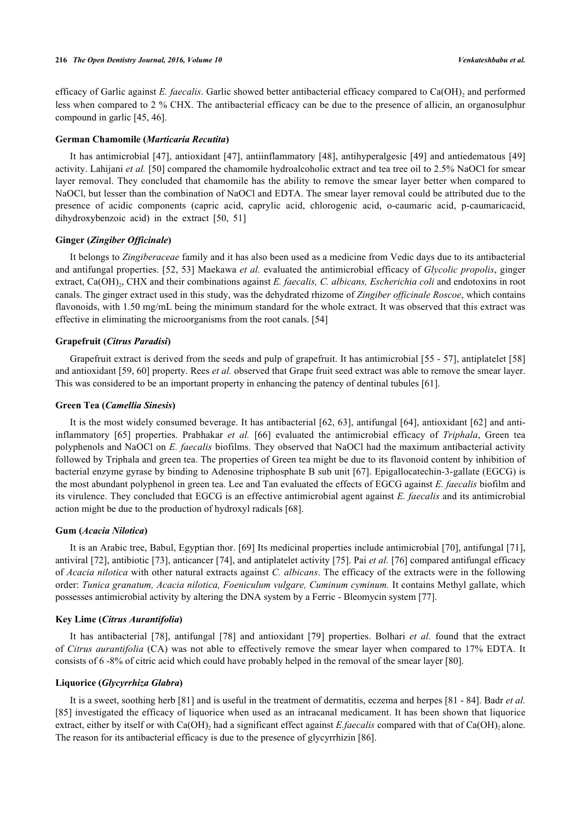efficacy of Garlic against *E. faecalis*. Garlic showed better antibacterial efficacy compared to Ca(OH)<sub>2</sub> and performed less when compared to 2 % CHX. The antibacterial efficacy can be due to the presence of allicin, an organosulphur compound in garlic [\[45](#page-7-5), [46](#page-7-6)].

#### **German Chamomile (***Marticaria Recutita***)**

It has antimicrobial [[47](#page-7-7)], antioxidant [[47\]](#page-7-7), antiinflammatory [\[48](#page-7-8)], antihyperalgesic [[49](#page-7-9)] and antiedematous [[49](#page-7-9)] activity. Lahijani *et al.* [[50\]](#page-7-10) compared the chamomile hydroalcoholic extract and tea tree oil to 2.5% NaOCl for smear layer removal. They concluded that chamomile has the ability to remove the smear layer better when compared to NaOCl, but lesser than the combination of NaOCl and EDTA. The smear layer removal could be attributed due to the presence of acidic components (capric acid, caprylic acid, chlorogenic acid, o-caumaric acid, p-caumaricacid, dihydroxybenzoic acid) in the extract[[50,](#page-7-10) [51\]](#page-7-11)

# **Ginger (***Zingiber Officinale***)**

It belongs to *Zingiberaceae* family and it has also been used as a medicine from Vedic days due to its antibacterial and antifungal properties. [[52](#page-7-12), [53](#page-7-13)] Maekawa *et al.* evaluated the antimicrobial efficacy of *Glycolic propolis*, ginger extract, Ca(OH)<sub>2</sub>, CHX and their combinations against *E. faecalis, C. albicans, Escherichia coli* and endotoxins in root canals. The ginger extract used in this study, was the dehydrated rhizome of *Zingiber officinale Roscoe*, which contains flavonoids, with 1.50 mg/mL being the minimum standard for the whole extract. It was observed that this extract was effective in eliminating the microorganisms from the root canals. [[54\]](#page-7-14)

# **Grapefruit (***Citrus Paradisi***)**

Grapefruit extract is derived from the seeds and pulp of grapefruit. It has antimicrobial [[55](#page-7-15) - [57\]](#page-7-16), antiplatelet [[58](#page-7-17)] and antioxidant [[59,](#page-7-18) [60](#page-7-19)] property. Rees *et al.* observed that Grape fruit seed extract was able to remove the smear layer. This was considered to be an important property in enhancing the patency of dentinal tubules [\[61](#page-8-0)].

# **Green Tea (***Camellia Sinesis***)**

It is the most widely consumed beverage. It has antibacterial [\[62,](#page-8-1) [63](#page-8-2)], antifungal [[64\]](#page-8-3), antioxidant [\[62\]](#page-8-1) and antiinflammatory [\[65\]](#page-8-4) properties. Prabhakar *et al.* [\[66](#page-8-5)] evaluated the antimicrobial efficacy of *Triphala*, Green tea polyphenols and NaOCl on *E. faecalis* biofilms. They observed that NaOCl had the maximum antibacterial activity followed by Triphala and green tea. The properties of Green tea might be due to its flavonoid content by inhibition of bacterial enzyme gyrase by binding to Adenosine triphosphate B sub unit [[67](#page-8-6)]. Epigallocatechin-3-gallate (EGCG) is the most abundant polyphenol in green tea. Lee and Tan evaluated the effects of EGCG against *E. faecalis* biofilm and its virulence. They concluded that EGCG is an effective antimicrobial agent against *E. faecalis* and its antimicrobial action might be due to the production of hydroxyl radicals [[68\]](#page-8-7).

# **Gum (***Acacia Nilotica***)**

It is an Arabic tree, Babul, Egyptian thor. [[69\]](#page-8-8) Its medicinal properties include antimicrobial [\[70](#page-8-9)], antifungal [[71\]](#page-8-10), antiviral [\[72](#page-8-11)], antibiotic [[73\]](#page-8-12), anticancer [[74\]](#page-8-13), and antiplatelet activity [\[75](#page-8-14)]. Pai *et al.* [\[76](#page-8-15)] compared antifungal efficacy of *Acacia nilotica* with other natural extracts against *C. albicans*. The efficacy of the extracts were in the following order: *Tunica granatum, Acacia nilotica, Foeniculum vulgare, Cuminum cyminum.* It contains Methyl gallate, which possesses antimicrobial activity by altering the DNA system by a Ferric - Bleomycin system [\[77](#page-8-16)].

# **Key Lime (***Citrus Aurantifolia***)**

It has antibacterial[[78\]](#page-8-17), antifungal [\[78\]](#page-8-17) and antioxidant[[79](#page-8-18)] properties. Bolhari *et al.* found that the extract of *Citrus aurantifolia* (CA) was not able to effectively remove the smear layer when compared to 17% EDTA. It consists of 6 -8% of citric acid which could have probably helped in the removal of the smear layer [[80\]](#page-8-19).

#### **Liquorice (***Glycyrrhiza Glabra***)**

It is a sweet, soothing herb [[81\]](#page-8-20) and is useful in the treatment of dermatitis, eczema and herpes [\[81](#page-8-20) - [84\]](#page-9-0). Badr *et al.* [\[85](#page-9-1)] investigated the efficacy of liquorice when used as an intracanal medicament. It has been shown that liquorice extract, either by itself or with  $Ca(OH)_2$  had a significant effect against *E.faecalis* compared with that of  $Ca(OH)_2$  alone. The reason for its antibacterial efficacy is due to the presence of glycyrrhizin [\[86](#page-9-2)].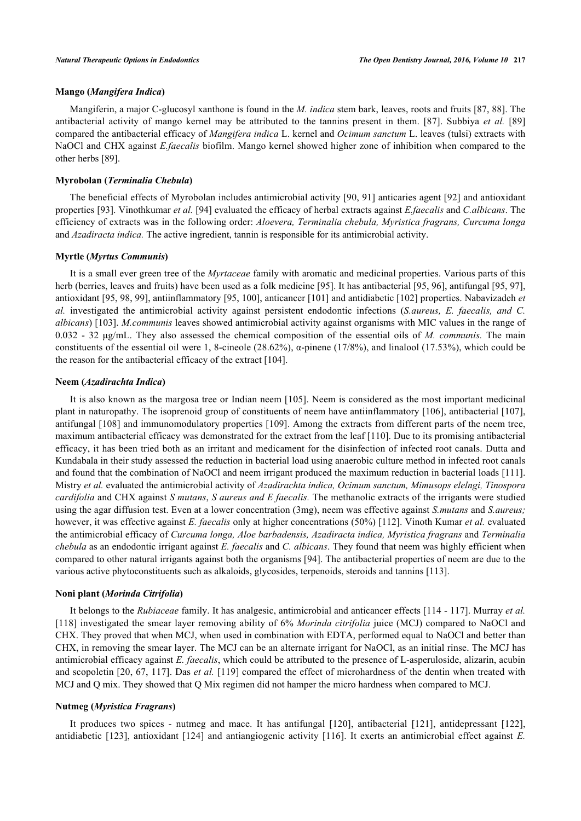# **Mango (***Mangifera Indica***)**

Mangiferin, a major C-glucosyl xanthone is found in the *M. indica* stem bark, leaves, roots and fruits [[87,](#page-9-3) [88](#page-9-4)]. The antibacterial activity of mango kernel may be attributed to the tannins present in them.[[87\]](#page-9-3). Subbiya *et al.* [[89](#page-9-5)] compared the antibacterial efficacy of *Mangifera indica* L. kernel and *Ocimum sanctum* L. leaves (tulsi) extracts with NaOCl and CHX against *E.faecalis* biofilm. Mango kernel showed higher zone of inhibition when compared to the other herbs [\[89](#page-9-5)].

### **Myrobolan (***Terminalia Chebula***)**

The beneficial effects of Myrobolan includes antimicrobial activity [\[90,](#page-9-6) [91](#page-9-7)] anticaries agent [\[92\]](#page-9-8) and antioxidant properties [[93\]](#page-9-9). Vinothkumar *et al.* [[94\]](#page-9-10) evaluated the efficacy of herbal extracts against *E.faecalis* and *C.albicans*. The efficiency of extracts was in the following order: *Aloevera, Terminalia chebula, Myristica fragrans, Curcuma longa* and *Azadiracta indica.* The active ingredient, tannin is responsible for its antimicrobial activity.

#### **Myrtle (***Myrtus Communis***)**

It is a small ever green tree of the *Myrtaceae* family with aromatic and medicinal properties. Various parts of this herb (berries, leaves and fruits) have been used as a folk medicine [\[95](#page-9-11)]. It has antibacterial [\[95](#page-9-11), [96](#page-9-12)], antifungal [[95,](#page-9-11) [97\]](#page-9-13), antioxidant [[95,](#page-9-11) [98](#page-9-14), [99](#page-9-15)], antiinflammatory [[95,](#page-9-11) [100\]](#page-9-16), anticancer [[101\]](#page-9-17) and antidiabetic [[102\]](#page-9-18) properties. Nabavizadeh *et al.* investigated the antimicrobial activity against persistent endodontic infections (*S.aureus, E. faecalis, and C. albicans*) [[103\]](#page-10-0). *M.communis* leaves showed antimicrobial activity against organisms with MIC values in the range of 0.032 - 32 μg/mL. They also assessed the chemical composition of the essential oils of *M. communis.* The main constituents of the essential oil were 1, 8-cineole (28.62%),  $\alpha$ -pinene (17/8%), and linalool (17.53%), which could be the reason for the antibacterial efficacy of the extract [\[104](#page-10-1)].

#### **Neem (***Azadirachta Indica***)**

It is also known as the margosa tree or Indian neem [\[105\]](#page-10-2). Neem is considered as the most important medicinal plant in naturopathy. The isoprenoid group of constituents of neem have antiinflammatory [\[106](#page-10-3)], antibacterial [\[107\]](#page-10-4), antifungal [[108](#page-10-5)] and immunomodulatory properties [[109](#page-10-6)]. Among the extracts from different parts of the neem tree, maximum antibacterial efficacy was demonstrated for the extract from the leaf [[110\]](#page-10-7). Due to its promising antibacterial efficacy, it has been tried both as an irritant and medicament for the disinfection of infected root canals. Dutta and Kundabala in their study assessed the reduction in bacterial load using anaerobic culture method in infected root canals and found that the combination of NaOCl and neem irrigant produced the maximum reduction in bacterial loads [[111\]](#page-10-8). Mistry *et al.* evaluated the antimicrobial activity of *Azadirachta indica, Ocimum sanctum, Mimusops elelngi, Tinospora cardifolia* and CHX against *S mutans*, *S aureus and E faecalis.* The methanolic extracts of the irrigants were studied using the agar diffusion test. Even at a lower concentration (3mg), neem was effective against *S.mutans* and *S.aureus;* however, it was effective against *E. faecalis* only at higher concentrations (50%) [\[112](#page-10-9)]. Vinoth Kumar *et al.* evaluated the antimicrobial efficacy of *Curcuma longa, Aloe barbadensis, Azadiracta indica, Myristica fragrans* and *Terminalia chebula* as an endodontic irrigant against *E. faecalis* and *C. albicans*. They found that neem was highly efficient when compared to other natural irrigants against both the organisms [[94](#page-9-10)]. The antibacterial properties of neem are due to the various active phytoconstituents such as alkaloids, glycosides, terpenoids, steroids and tannins [[113\]](#page-10-10).

#### **Noni plant (***Morinda Citrifolia***)**

It belongs to the *Rubiaceae* family. It has analgesic, antimicrobial and anticancer effects [\[114](#page-10-11) - [117](#page-10-12)]. Murray *et al.* [\[118](#page-10-13)] investigated the smear layer removing ability of 6% *Morinda citrifolia* juice (MCJ) compared to NaOCl and CHX. They proved that when MCJ, when used in combination with EDTA, performed equal to NaOCl and better than CHX, in removing the smear layer. The MCJ can be an alternate irrigant for NaOCl, as an initial rinse. The MCJ has antimicrobial efficacy against *E. faecalis*, which could be attributed to the presence of L-asperuloside, alizarin, acubin and scopoletin [\[20](#page-6-16), [67](#page-8-6), [117](#page-10-12)]. Das *et al.* [\[119\]](#page-10-14) compared the effect of microhardness of the dentin when treated with MCJ and Q mix. They showed that Q Mix regimen did not hamper the micro hardness when compared to MCJ.

### **Nutmeg (***Myristica Fragrans***)**

It produces two spices - nutmeg and mace. It has antifungal[[120](#page-10-15)], antibacterial [\[121\]](#page-10-16), antidepressant [\[122\]](#page-10-17), antidiabetic[[123](#page-10-18)], antioxidant [\[124\]](#page-11-0) and antiangiogenic activity[[116](#page-10-19)]. It exerts an antimicrobial effect against *E.*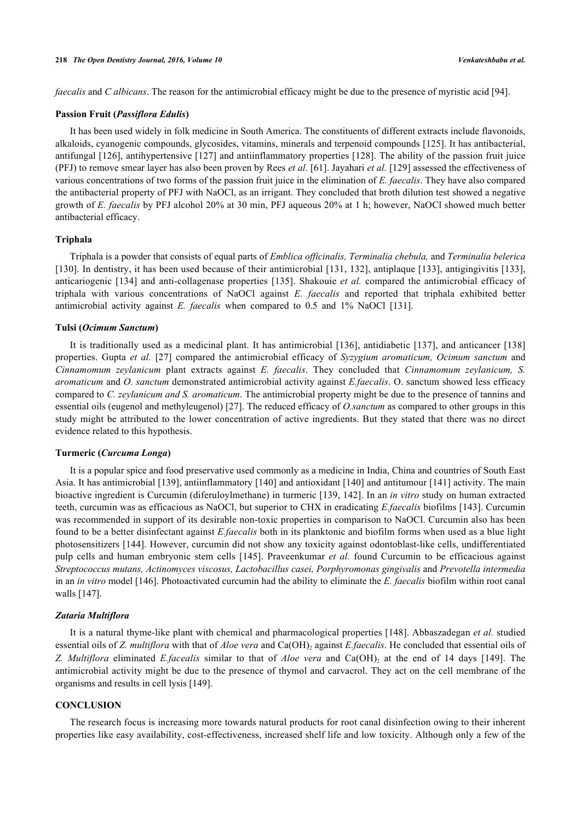*faecalis* and *C albicans*. The reason for the antimicrobial efficacy might be due to the presence of myristic acid [\[94](#page-9-10)].

#### **Passion Fruit (***Passiflora Edulis***)**

It has been used widely in folk medicine in South America. The constituents of different extracts include flavonoids, alkaloids, cyanogenic compounds, glycosides, vitamins, minerals and terpenoid compounds [[125\]](#page-11-1). It has antibacterial, antifungal [[126](#page-11-2)], antihypertensive [\[127\]](#page-11-3) and antiinflammatory properties [\[128\]](#page-11-4). The ability of the passion fruit juice (PFJ) to remove smear layer has also been proven by Rees *et al.* [[61\]](#page-8-0). Jayahari *et al.* [\[129\]](#page-11-5) assessed the effectiveness of various concentrations of two forms of the passion fruit juice in the elimination of *E. faecalis*. They have also compared the antibacterial property of PFJ with NaOCl, as an irrigant. They concluded that broth dilution test showed a negative growth of *E. faecalis* by PFJ alcohol 20% at 30 min, PFJ aqueous 20% at 1 h; however, NaOCl showed much better antibacterial efficacy.

# **Triphala**

Triphala is a powder that consists of equal parts of *Emblica officinalis, Terminalia chebula,* and *Terminalia belerica* [\[130](#page-11-6)]. In dentistry, it has been used because of their antimicrobial [[131,](#page-11-7) [132\]](#page-11-8), antiplaque [\[133\]](#page-11-9), antigingivitis [\[133\]](#page-11-9), anticariogenic [[134](#page-11-10)] and anti-collagenase properties [[135](#page-11-11)]. Shakouie *et al.* compared the antimicrobial efficacy of triphala with various concentrations of NaOCl against *E. faecalis* and reported that triphala exhibited better antimicrobial activity against *E. faecalis* when compared to 0.5 and 1% NaOCl[[131\]](#page-11-7).

# **Tulsi (***Ocimum Sanctum***)**

It is traditionally used as a medicinal plant. It has antimicrobial [[136](#page-11-12)], antidiabetic [[137\]](#page-11-13), and anticancer [[138](#page-11-14)] properties. Gupta *et al.* [[27\]](#page-6-7) compared the antimicrobial efficacy of *Syzygium aromaticum, Ocimum sanctum* and *Cinnamomum zeylanicum* plant extracts against *E. faecalis*. They concluded that *Cinnamomum zeylanicum, S. aromaticum* and *O. sanctum* demonstrated antimicrobial activity against *E.faecalis*. O. sanctum showed less efficacy compared to *C. zeylanicum and S. aromaticum*. The antimicrobial property might be due to the presence of tannins and essential oils (eugenol and methyleugenol) [[27\]](#page-6-7). The reduced efficacy of *O.sanctum* as compared to other groups in this study might be attributed to the lower concentration of active ingredients. But they stated that there was no direct evidence related to this hypothesis.

#### **Turmeric (***Curcuma Longa***)**

It is a popular spice and food preservative used commonly as a medicine in India, China and countries of South East Asia. It has antimicrobial [\[139](#page-11-15)], antiinflammatory [[140](#page-11-16)] and antioxidant [[140\]](#page-11-16) and antitumour [\[141\]](#page-11-17) activity. The main bioactive ingredient is Curcumin (diferuloylmethane) in turmeric [[139](#page-11-15), [142\]](#page-11-18). In an *in vitro* study on human extracted teeth, curcumin was as efficacious as NaOCl, but superior to CHX in eradicating *E.faecalis* biofilms [\[143](#page-11-19)]. Curcumin was recommended in support of its desirable non-toxic properties in comparison to NaOCl. Curcumin also has been found to be a better disinfectant against *E.faecalis* both in its planktonic and biofilm forms when used as a blue light photosensitizers [\[144](#page-12-0)]. However, curcumin did not show any toxicity against odontoblast-like cells, undifferentiated pulp cells and human embryonic stem cells[[145](#page-12-1)]. Praveenkumar *et al.* found Curcumin to be efficacious against *Streptococcus mutans, Actinomyces viscosus, Lactobacillus casei, Porphyromonas gingivalis* and *Prevotella intermedia* in an *in vitro* model [[146](#page-12-2)]. Photoactivated curcumin had the ability to eliminate the *E. faecalis* biofilm within root canal walls [[147\]](#page-12-3).

#### *Zataria Multiflora*

It is a natural thyme-like plant with chemical and pharmacological properties [\[148\]](#page-12-4). Abbaszadegan *et al.* studied essential oils of *Z. multiflora* with that of *Aloe vera* and Ca(OH)<sub>2</sub> against *E.faecalis*. He concluded that essential oils of Z.Multiflora eliminated *E.facealis* similar to that of *Aloe vera* and Ca(OH)<sub>2</sub> at the end of 14 days [[149](#page-12-5)]. The antimicrobial activity might be due to the presence of thymol and carvacrol. They act on the cell membrane of the organisms and results in cell lysis [\[149](#page-12-5)].

#### **CONCLUSION**

The research focus is increasing more towards natural products for root canal disinfection owing to their inherent properties like easy availability, cost-effectiveness, increased shelf life and low toxicity. Although only a few of the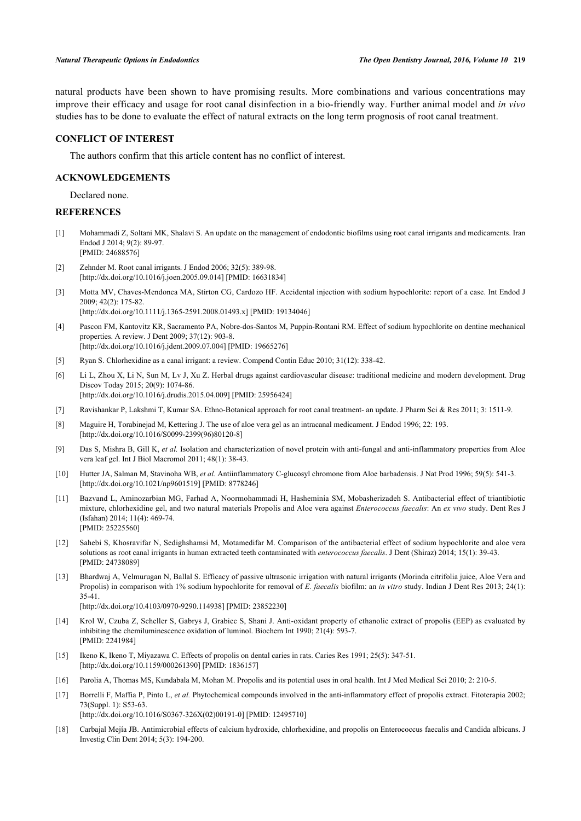natural products have been shown to have promising results. More combinations and various concentrations may improve their efficacy and usage for root canal disinfection in a bio-friendly way. Further animal model and *in vivo* studies has to be done to evaluate the effect of natural extracts on the long term prognosis of root canal treatment.

### **CONFLICT OF INTEREST**

The authors confirm that this article content has no conflict of interest.

# **ACKNOWLEDGEMENTS**

Declared none.

### **REFERENCES**

- <span id="page-5-0"></span>[1] Mohammadi Z, Soltani MK, Shalavi S. An update on the management of endodontic biofilms using root canal irrigants and medicaments. Iran Endod J 2014; 9(2): 89-97. [PMID: [24688576\]](http://www.ncbi.nlm.nih.gov/pubmed/24688576)
- <span id="page-5-1"></span>[2] Zehnder M. Root canal irrigants. J Endod 2006; 32(5): 389-98. [\[http://dx.doi.org/10.1016/j.joen.2005.09.014\]](http://dx.doi.org/10.1016/j.joen.2005.09.014) [PMID: [16631834](http://www.ncbi.nlm.nih.gov/pubmed/16631834)]
- <span id="page-5-2"></span>[3] Motta MV, Chaves-Mendonca MA, Stirton CG, Cardozo HF. Accidental injection with sodium hypochlorite: report of a case. Int Endod J  $2009 \cdot 42(2) \cdot 175 - 82$ .

[\[http://dx.doi.org/10.1111/j.1365-2591.2008.01493.x\]](http://dx.doi.org/10.1111/j.1365-2591.2008.01493.x) [PMID: [19134046](http://www.ncbi.nlm.nih.gov/pubmed/19134046)]

- <span id="page-5-3"></span>[4] Pascon FM, Kantovitz KR, Sacramento PA, Nobre-dos-Santos M, Puppin-Rontani RM. Effect of sodium hypochlorite on dentine mechanical properties. A review. J Dent 2009; 37(12): 903-8. [\[http://dx.doi.org/10.1016/j.jdent.2009.07.004](http://dx.doi.org/10.1016/j.jdent.2009.07.004)] [PMID: [19665276\]](http://www.ncbi.nlm.nih.gov/pubmed/19665276)
- <span id="page-5-4"></span>[5] Ryan S. Chlorhexidine as a canal irrigant: a review. Compend Contin Educ 2010; 31(12): 338-42.
- <span id="page-5-5"></span>[6] Li L, Zhou X, Li N, Sun M, Lv J, Xu Z. Herbal drugs against cardiovascular disease: traditional medicine and modern development. Drug Discov Today 2015; 20(9): 1074-86. [\[http://dx.doi.org/10.1016/j.drudis.2015.04.009](http://dx.doi.org/10.1016/j.drudis.2015.04.009)] [PMID: [25956424\]](http://www.ncbi.nlm.nih.gov/pubmed/25956424)
- <span id="page-5-6"></span>[7] Ravishankar P, Lakshmi T, Kumar SA. Ethno-Botanical approach for root canal treatment- an update. J Pharm Sci & Res 2011; 3: 1511-9.
- <span id="page-5-7"></span>[8] Maguire H, Torabinejad M, Kettering J. The use of aloe vera gel as an intracanal medicament. J Endod 1996; 22: 193. [\[http://dx.doi.org/10.1016/S0099-2399\(96\)80120-8\]](http://dx.doi.org/10.1016/S0099-2399(96)80120-8)
- <span id="page-5-8"></span>[9] Das S, Mishra B, Gill K, *et al.* Isolation and characterization of novel protein with anti-fungal and anti-inflammatory properties from Aloe vera leaf gel. Int J Biol Macromol 2011; 48(1): 38-43.
- <span id="page-5-9"></span>[10] Hutter JA, Salman M, Stavinoha WB, *et al.* Antiinflammatory C-glucosyl chromone from Aloe barbadensis. J Nat Prod 1996; 59(5): 541-3. [\[http://dx.doi.org/10.1021/np9601519\]](http://dx.doi.org/10.1021/np9601519) [PMID: [8778246](http://www.ncbi.nlm.nih.gov/pubmed/8778246)]
- <span id="page-5-10"></span>[11] Bazvand L, Aminozarbian MG, Farhad A, Noormohammadi H, Hasheminia SM, Mobasherizadeh S. Antibacterial effect of triantibiotic mixture, chlorhexidine gel, and two natural materials Propolis and Aloe vera against *Enterococcus faecalis*: An *ex vivo* study. Dent Res J (Isfahan) 2014; 11(4): 469-74. [PMID: [25225560\]](http://www.ncbi.nlm.nih.gov/pubmed/25225560)
- <span id="page-5-11"></span>[12] Sahebi S, Khosravifar N, Sedighshamsi M, Motamedifar M. Comparison of the antibacterial effect of sodium hypochlorite and aloe vera solutions as root canal irrigants in human extracted teeth contaminated with *enterococcus faecalis*. J Dent (Shiraz) 2014; 15(1): 39-43. [PMID: [24738089\]](http://www.ncbi.nlm.nih.gov/pubmed/24738089)
- <span id="page-5-12"></span>[13] Bhardwaj A, Velmurugan N, Ballal S. Efficacy of passive ultrasonic irrigation with natural irrigants (Morinda citrifolia juice, Aloe Vera and Propolis) in comparison with 1% sodium hypochlorite for removal of *E. faecalis* biofilm: an *in vitro* study. Indian J Dent Res 2013; 24(1): 35-41.

[\[http://dx.doi.org/10.4103/0970-9290.114938](http://dx.doi.org/10.4103/0970-9290.114938)] [PMID: [23852230](http://www.ncbi.nlm.nih.gov/pubmed/23852230)]

- <span id="page-5-13"></span>[14] Krol W, Czuba Z, Scheller S, Gabrys J, Grabiec S, Shani J. Anti-oxidant property of ethanolic extract of propolis (EEP) as evaluated by inhibiting the chemiluminescence oxidation of luminol. Biochem Int 1990; 21(4): 593-7. [PMID: [2241984\]](http://www.ncbi.nlm.nih.gov/pubmed/2241984)
- <span id="page-5-14"></span>[15] Ikeno K, Ikeno T, Miyazawa C. Effects of propolis on dental caries in rats. Caries Res 1991; 25(5): 347-51. [\[http://dx.doi.org/10.1159/000261390\]](http://dx.doi.org/10.1159/000261390) [PMID: [1836157](http://www.ncbi.nlm.nih.gov/pubmed/1836157)]
- <span id="page-5-15"></span>[16] Parolia A, Thomas MS, Kundabala M, Mohan M. Propolis and its potential uses in oral health. Int J Med Medical Sci 2010; 2: 210-5.
- <span id="page-5-16"></span>[17] Borrelli F, Maffia P, Pinto L, *et al.* Phytochemical compounds involved in the anti-inflammatory effect of propolis extract. Fitoterapia 2002; 73(Suppl. 1): S53-63. [\[http://dx.doi.org/10.1016/S0367-326X\(02\)00191-0\]](http://dx.doi.org/10.1016/S0367-326X(02)00191-0) [PMID: [12495710](http://www.ncbi.nlm.nih.gov/pubmed/12495710)]
- <span id="page-5-17"></span>[18] Carbajal Mejía JB. Antimicrobial effects of calcium hydroxide, chlorhexidine, and propolis on Enterococcus faecalis and Candida albicans. J Investig Clin Dent 2014; 5(3): 194-200.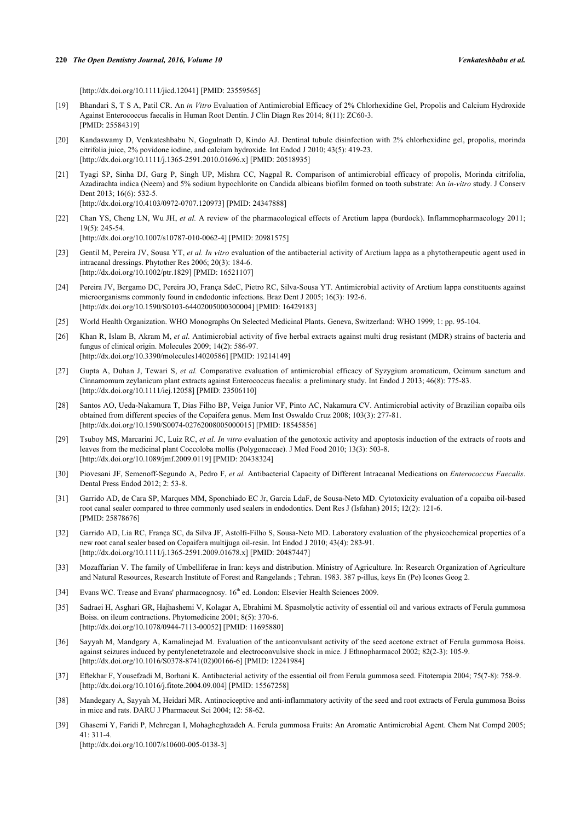[\[http://dx.doi.org/10.1111/jicd.12041\]](http://dx.doi.org/10.1111/jicd.12041) [PMID: [23559565](http://www.ncbi.nlm.nih.gov/pubmed/23559565)]

- <span id="page-6-0"></span>[19] Bhandari S, T S A, Patil CR. An *in Vitro* Evaluation of Antimicrobial Efficacy of 2% Chlorhexidine Gel, Propolis and Calcium Hydroxide Against Enterococcus faecalis in Human Root Dentin. J Clin Diagn Res 2014; 8(11): ZC60-3. [PMID: [25584319\]](http://www.ncbi.nlm.nih.gov/pubmed/25584319)
- <span id="page-6-16"></span>[20] Kandaswamy D, Venkateshbabu N, Gogulnath D, Kindo AJ. Dentinal tubule disinfection with 2% chlorhexidine gel, propolis, morinda citrifolia juice, 2% povidone iodine, and calcium hydroxide. Int Endod J 2010; 43(5): 419-23. [\[http://dx.doi.org/10.1111/j.1365-2591.2010.01696.x\]](http://dx.doi.org/10.1111/j.1365-2591.2010.01696.x) [PMID: [20518935](http://www.ncbi.nlm.nih.gov/pubmed/20518935)]
- <span id="page-6-1"></span>[21] Tyagi SP, Sinha DJ, Garg P, Singh UP, Mishra CC, Nagpal R. Comparison of antimicrobial efficacy of propolis, Morinda citrifolia, Azadirachta indica (Neem) and 5% sodium hypochlorite on Candida albicans biofilm formed on tooth substrate: An *in-vitro* study. J Conserv Dent 2013; 16(6): 532-5. [\[http://dx.doi.org/10.4103/0972-0707.120973](http://dx.doi.org/10.4103/0972-0707.120973)] [PMID: [24347888](http://www.ncbi.nlm.nih.gov/pubmed/24347888)]
- <span id="page-6-2"></span>[22] Chan YS, Cheng LN, Wu JH, *et al.* A review of the pharmacological effects of Arctium lappa (burdock). Inflammopharmacology 2011; 19(5): 245-54. [\[http://dx.doi.org/10.1007/s10787-010-0062-4\]](http://dx.doi.org/10.1007/s10787-010-0062-4) [PMID: [20981575](http://www.ncbi.nlm.nih.gov/pubmed/20981575)]
- <span id="page-6-3"></span>[23] Gentil M, Pereira JV, Sousa YT, *et al. In vitro* evaluation of the antibacterial activity of Arctium lappa as a phytotherapeutic agent used in intracanal dressings. Phytother Res 2006; 20(3): 184-6. [\[http://dx.doi.org/10.1002/ptr.1829\]](http://dx.doi.org/10.1002/ptr.1829) [PMID: [16521107](http://www.ncbi.nlm.nih.gov/pubmed/16521107)]
- <span id="page-6-4"></span>[24] Pereira JV, Bergamo DC, Pereira JO, França SdeC, Pietro RC, Silva-Sousa YT. Antimicrobial activity of Arctium lappa constituents against microorganisms commonly found in endodontic infections. Braz Dent J 2005; 16(3): 192-6. [\[http://dx.doi.org/10.1590/S0103-64402005000300004\]](http://dx.doi.org/10.1590/S0103-64402005000300004) [PMID: [16429183](http://www.ncbi.nlm.nih.gov/pubmed/16429183)]
- <span id="page-6-5"></span>[25] World Health Organization. WHO Monographs On Selected Medicinal Plants. Geneva, Switzerland: WHO 1999; 1: pp. 95-104.
- <span id="page-6-6"></span>[26] Khan R, Islam B, Akram M, *et al.* Antimicrobial activity of five herbal extracts against multi drug resistant (MDR) strains of bacteria and fungus of clinical origin. Molecules 2009; 14(2): 586-97. [\[http://dx.doi.org/10.3390/molecules14020586](http://dx.doi.org/10.3390/molecules14020586)] [PMID: [19214149\]](http://www.ncbi.nlm.nih.gov/pubmed/19214149)
- <span id="page-6-7"></span>[27] Gupta A, Duhan J, Tewari S, *et al.* Comparative evaluation of antimicrobial efficacy of Syzygium aromaticum, Ocimum sanctum and Cinnamomum zeylanicum plant extracts against Enterococcus faecalis: a preliminary study. Int Endod J 2013; 46(8): 775-83. [\[http://dx.doi.org/10.1111/iej.12058\]](http://dx.doi.org/10.1111/iej.12058) [PMID: [23506110](http://www.ncbi.nlm.nih.gov/pubmed/23506110)]
- <span id="page-6-8"></span>[28] Santos AO, Ueda-Nakamura T, Dias Filho BP, Veiga Junior VF, Pinto AC, Nakamura CV. Antimicrobial activity of Brazilian copaiba oils obtained from different species of the Copaifera genus. Mem Inst Oswaldo Cruz 2008; 103(3): 277-81. [\[http://dx.doi.org/10.1590/S0074-02762008005000015\]](http://dx.doi.org/10.1590/S0074-02762008005000015) [PMID: [18545856](http://www.ncbi.nlm.nih.gov/pubmed/18545856)]
- <span id="page-6-9"></span>[29] Tsuboy MS, Marcarini JC, Luiz RC, *et al. In vitro* evaluation of the genotoxic activity and apoptosis induction of the extracts of roots and leaves from the medicinal plant Coccoloba mollis (Polygonaceae). J Med Food 2010; 13(3): 503-8. [\[http://dx.doi.org/10.1089/jmf.2009.0119\]](http://dx.doi.org/10.1089/jmf.2009.0119) [PMID: [20438324](http://www.ncbi.nlm.nih.gov/pubmed/20438324)]
- <span id="page-6-10"></span>[30] Piovesani JF, Semenoff-Segundo A, Pedro F, *et al.* Antibacterial Capacity of Different Intracanal Medications on *Enterococcus Faecalis*. Dental Press Endod 2012; 2: 53-8.
- <span id="page-6-11"></span>[31] Garrido AD, de Cara SP, Marques MM, Sponchiado EC Jr, Garcia LdaF, de Sousa-Neto MD. Cytotoxicity evaluation of a copaiba oil-based root canal sealer compared to three commonly used sealers in endodontics. Dent Res J (Isfahan) 2015; 12(2): 121-6. [PMID: [25878676\]](http://www.ncbi.nlm.nih.gov/pubmed/25878676)
- <span id="page-6-12"></span>[32] Garrido AD, Lia RC, França SC, da Silva JF, Astolfi-Filho S, Sousa-Neto MD. Laboratory evaluation of the physicochemical properties of a new root canal sealer based on Copaifera multijuga oil-resin. Int Endod J 2010; 43(4): 283-91. [\[http://dx.doi.org/10.1111/j.1365-2591.2009.01678.x\]](http://dx.doi.org/10.1111/j.1365-2591.2009.01678.x) [PMID: [20487447](http://www.ncbi.nlm.nih.gov/pubmed/20487447)]
- <span id="page-6-13"></span>[33] Mozaffarian V. The family of Umbelliferae in Iran: keys and distribution. Ministry of Agriculture. In: Research Organization of Agriculture and Natural Resources, Research Institute of Forest and Rangelands ; Tehran. 1983. 387 p-illus, keys En (Pe) Icones Geog 2.
- <span id="page-6-14"></span>[34] Evans WC. Trease and Evans' pharmacognosy. 16<sup>th</sup> ed. London: Elsevier Health Sciences 2009.
- <span id="page-6-15"></span>[35] Sadraei H, Asghari GR, Hajhashemi V, Kolagar A, Ebrahimi M. Spasmolytic activity of essential oil and various extracts of Ferula gummosa Boiss. on ileum contractions. Phytomedicine 2001; 8(5): 370-6. [\[http://dx.doi.org/10.1078/0944-7113-00052](http://dx.doi.org/10.1078/0944-7113-00052)] [PMID: [11695880\]](http://www.ncbi.nlm.nih.gov/pubmed/11695880)
- [36] Sayyah M, Mandgary A, Kamalinejad M. Evaluation of the anticonvulsant activity of the seed acetone extract of Ferula gummosa Boiss. against seizures induced by pentylenetetrazole and electroconvulsive shock in mice. J Ethnopharmacol 2002; 82(2-3): 105-9. [\[http://dx.doi.org/10.1016/S0378-8741\(02\)00166-6\]](http://dx.doi.org/10.1016/S0378-8741(02)00166-6) [PMID: [12241984](http://www.ncbi.nlm.nih.gov/pubmed/12241984)]
- [37] Eftekhar F, Yousefzadi M, Borhani K. Antibacterial activity of the essential oil from Ferula gummosa seed. Fitoterapia 2004; 75(7-8): 758-9. [\[http://dx.doi.org/10.1016/j.fitote.2004.09.004\]](http://dx.doi.org/10.1016/j.fitote.2004.09.004) [PMID: [15567258](http://www.ncbi.nlm.nih.gov/pubmed/15567258)]
- [38] Mandegary A, Sayyah M, Heidari MR. Antinociceptive and anti-inflammatory activity of the seed and root extracts of Ferula gummosa Boiss in mice and rats. DARU J Pharmaceut Sci 2004; 12: 58-62.
- [39] Ghasemi Y, Faridi P, Mehregan I, Mohagheghzadeh A. Ferula gummosa Fruits: An Aromatic Antimicrobial Agent. Chem Nat Compd 2005;  $41 \cdot 311 - 4$ [\[http://dx.doi.org/10.1007/s10600-005-0138-3\]](http://dx.doi.org/10.1007/s10600-005-0138-3)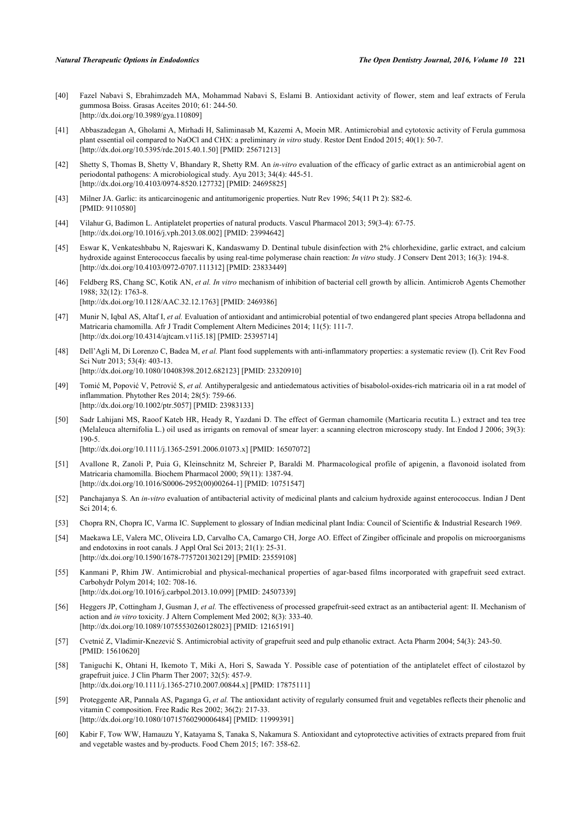- <span id="page-7-0"></span>[40] Fazel Nabavi S, Ebrahimzadeh MA, Mohammad Nabavi S, Eslami B. Antioxidant activity of flower, stem and leaf extracts of Ferula gummosa Boiss. Grasas Aceites 2010; 61: 244-50. [\[http://dx.doi.org/10.3989/gya.110809](http://dx.doi.org/10.3989/gya.110809)]
- <span id="page-7-1"></span>[41] Abbaszadegan A, Gholami A, Mirhadi H, Saliminasab M, Kazemi A, Moein MR. Antimicrobial and cytotoxic activity of Ferula gummosa plant essential oil compared to NaOCl and CHX: a preliminary *in vitro* study. Restor Dent Endod 2015; 40(1): 50-7. [\[http://dx.doi.org/10.5395/rde.2015.40.1.50](http://dx.doi.org/10.5395/rde.2015.40.1.50)] [PMID: [25671213\]](http://www.ncbi.nlm.nih.gov/pubmed/25671213)
- <span id="page-7-2"></span>[42] Shetty S, Thomas B, Shetty V, Bhandary R, Shetty RM. An *in-vitro* evaluation of the efficacy of garlic extract as an antimicrobial agent on periodontal pathogens: A microbiological study. Ayu 2013; 34(4): 445-51. [\[http://dx.doi.org/10.4103/0974-8520.127732](http://dx.doi.org/10.4103/0974-8520.127732)] [PMID: [24695825](http://www.ncbi.nlm.nih.gov/pubmed/24695825)]
- <span id="page-7-3"></span>[43] Milner JA. Garlic: its anticarcinogenic and antitumorigenic properties. Nutr Rev 1996; 54(11 Pt 2): S82-6. [PMID: [9110580\]](http://www.ncbi.nlm.nih.gov/pubmed/9110580)
- <span id="page-7-4"></span>[44] Vilahur G, Badimon L. Antiplatelet properties of natural products. Vascul Pharmacol 2013; 59(3-4): 67-75. [\[http://dx.doi.org/10.1016/j.vph.2013.08.002](http://dx.doi.org/10.1016/j.vph.2013.08.002)] [PMID: [23994642\]](http://www.ncbi.nlm.nih.gov/pubmed/23994642)
- <span id="page-7-5"></span>[45] Eswar K, Venkateshbabu N, Rajeswari K, Kandaswamy D. Dentinal tubule disinfection with 2% chlorhexidine, garlic extract, and calcium hydroxide against Enterococcus faecalis by using real-time polymerase chain reaction: *In vitro* study. J Conserv Dent 2013; 16(3): 194-8. [\[http://dx.doi.org/10.4103/0972-0707.111312](http://dx.doi.org/10.4103/0972-0707.111312)] [PMID: [23833449](http://www.ncbi.nlm.nih.gov/pubmed/23833449)]
- <span id="page-7-6"></span>[46] Feldberg RS, Chang SC, Kotik AN, *et al. In vitro* mechanism of inhibition of bacterial cell growth by allicin. Antimicrob Agents Chemother 1988; 32(12): 1763-8. [\[http://dx.doi.org/10.1128/AAC.32.12.1763\]](http://dx.doi.org/10.1128/AAC.32.12.1763) [PMID: [2469386](http://www.ncbi.nlm.nih.gov/pubmed/2469386)]
- <span id="page-7-7"></span>[47] Munir N, Iqbal AS, Altaf I, et al. Evaluation of antioxidant and antimicrobial potential of two endangered plant species Atropa belladonna and Matricaria chamomilla. Afr J Tradit Complement Altern Medicines 2014; 11(5): 111-7. [\[http://dx.doi.org/10.4314/ajtcam.v11i5.18](http://dx.doi.org/10.4314/ajtcam.v11i5.18)] [PMID: [25395714\]](http://www.ncbi.nlm.nih.gov/pubmed/25395714)
- <span id="page-7-8"></span>[48] Dell'Agli M, Di Lorenzo C, Badea M, *et al.* Plant food supplements with anti-inflammatory properties: a systematic review (I). Crit Rev Food Sci Nutr 2013; 53(4): 403-13. [\[http://dx.doi.org/10.1080/10408398.2012.682123\]](http://dx.doi.org/10.1080/10408398.2012.682123) [PMID: [23320910](http://www.ncbi.nlm.nih.gov/pubmed/23320910)]
- <span id="page-7-9"></span>[49] Tomić M, Popović V, Petrović S, *et al.* Antihyperalgesic and antiedematous activities of bisabolol-oxides-rich matricaria oil in a rat model of inflammation. Phytother Res 2014; 28(5): 759-66. [\[http://dx.doi.org/10.1002/ptr.5057\]](http://dx.doi.org/10.1002/ptr.5057) [PMID: [23983133](http://www.ncbi.nlm.nih.gov/pubmed/23983133)]
- <span id="page-7-10"></span>[50] Sadr Lahijani MS, Raoof Kateb HR, Heady R, Yazdani D. The effect of German chamomile (Marticaria recutita L.) extract and tea tree (Melaleuca alternifolia L.) oil used as irrigants on removal of smear layer: a scanning electron microscopy study. Int Endod J 2006; 39(3): 190-5.

[\[http://dx.doi.org/10.1111/j.1365-2591.2006.01073.x\]](http://dx.doi.org/10.1111/j.1365-2591.2006.01073.x) [PMID: [16507072](http://www.ncbi.nlm.nih.gov/pubmed/16507072)]

- <span id="page-7-11"></span>[51] Avallone R, Zanoli P, Puia G, Kleinschnitz M, Schreier P, Baraldi M. Pharmacological profile of apigenin, a flavonoid isolated from Matricaria chamomilla. Biochem Pharmacol 2000; 59(11): 1387-94. [\[http://dx.doi.org/10.1016/S0006-2952\(00\)00264-1\]](http://dx.doi.org/10.1016/S0006-2952(00)00264-1) [PMID: [10751547](http://www.ncbi.nlm.nih.gov/pubmed/10751547)]
- <span id="page-7-12"></span>[52] Panchajanya S. An *in-vitro* evaluation of antibacterial activity of medicinal plants and calcium hydroxide against enterococcus. Indian J Dent Sci 2014; 6.
- <span id="page-7-13"></span>[53] Chopra RN, Chopra IC, Varma IC. Supplement to glossary of Indian medicinal plant India: Council of Scientific & Industrial Research 1969.
- <span id="page-7-14"></span>[54] Maekawa LE, Valera MC, Oliveira LD, Carvalho CA, Camargo CH, Jorge AO. Effect of Zingiber officinale and propolis on microorganisms and endotoxins in root canals. J Appl Oral Sci 2013; 21(1): 25-31. [\[http://dx.doi.org/10.1590/1678-7757201302129](http://dx.doi.org/10.1590/1678-7757201302129)] [PMID: [23559108](http://www.ncbi.nlm.nih.gov/pubmed/23559108)]
- <span id="page-7-15"></span>[55] Kanmani P, Rhim JW. Antimicrobial and physical-mechanical properties of agar-based films incorporated with grapefruit seed extract. Carbohydr Polym 2014; 102: 708-16. [\[http://dx.doi.org/10.1016/j.carbpol.2013.10.099](http://dx.doi.org/10.1016/j.carbpol.2013.10.099)] [PMID: [24507339\]](http://www.ncbi.nlm.nih.gov/pubmed/24507339)
- [56] Heggers JP, Cottingham J, Gusman J, *et al.* The effectiveness of processed grapefruit-seed extract as an antibacterial agent: II. Mechanism of action and *in vitro* toxicity. J Altern Complement Med 2002; 8(3): 333-40. [\[http://dx.doi.org/10.1089/10755530260128023\]](http://dx.doi.org/10.1089/10755530260128023) [PMID: [12165191](http://www.ncbi.nlm.nih.gov/pubmed/12165191)]
- <span id="page-7-16"></span>[57] Cvetnić Z, Vladimir-Knezević S. Antimicrobial activity of grapefruit seed and pulp ethanolic extract. Acta Pharm 2004; 54(3): 243-50. [PMID: [15610620\]](http://www.ncbi.nlm.nih.gov/pubmed/15610620)
- <span id="page-7-17"></span>[58] Taniguchi K, Ohtani H, Ikemoto T, Miki A, Hori S, Sawada Y. Possible case of potentiation of the antiplatelet effect of cilostazol by grapefruit juice. J Clin Pharm Ther 2007; 32(5): 457-9. [\[http://dx.doi.org/10.1111/j.1365-2710.2007.00844.x\]](http://dx.doi.org/10.1111/j.1365-2710.2007.00844.x) [PMID: [17875111](http://www.ncbi.nlm.nih.gov/pubmed/17875111)]
- <span id="page-7-18"></span>[59] Proteggente AR, Pannala AS, Paganga G, *et al.* The antioxidant activity of regularly consumed fruit and vegetables reflects their phenolic and vitamin C composition. Free Radic Res 2002; 36(2): 217-33. [\[http://dx.doi.org/10.1080/10715760290006484\]](http://dx.doi.org/10.1080/10715760290006484) [PMID: [11999391](http://www.ncbi.nlm.nih.gov/pubmed/11999391)]
- <span id="page-7-19"></span>[60] Kabir F, Tow WW, Hamauzu Y, Katayama S, Tanaka S, Nakamura S. Antioxidant and cytoprotective activities of extracts prepared from fruit and vegetable wastes and by-products. Food Chem 2015; 167: 358-62.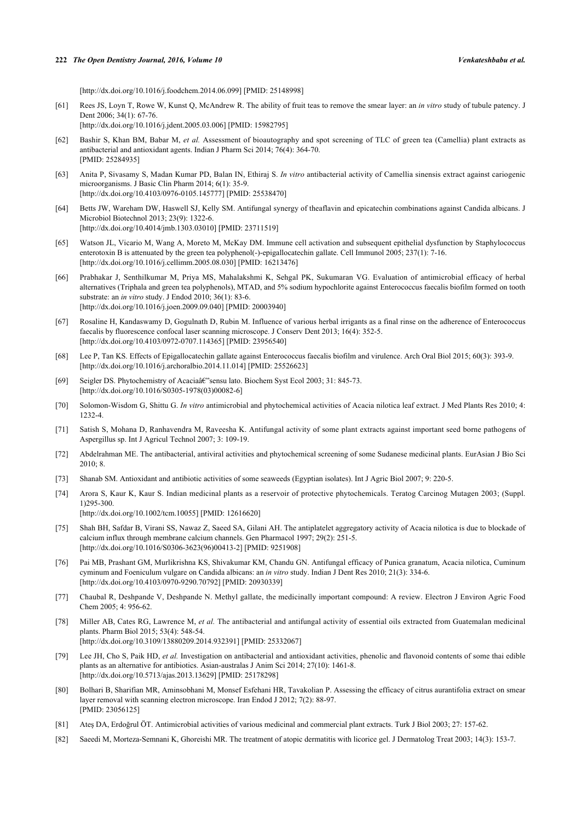[\[http://dx.doi.org/10.1016/j.foodchem.2014.06.099](http://dx.doi.org/10.1016/j.foodchem.2014.06.099)] [PMID: [25148998\]](http://www.ncbi.nlm.nih.gov/pubmed/25148998)

- <span id="page-8-0"></span>[61] Rees JS, Loyn T, Rowe W, Kunst Q, McAndrew R. The ability of fruit teas to remove the smear layer: an *in vitro* study of tubule patency. J Dent 2006; 34(1): 67-76. [\[http://dx.doi.org/10.1016/j.jdent.2005.03.006](http://dx.doi.org/10.1016/j.jdent.2005.03.006)] [PMID: [15982795\]](http://www.ncbi.nlm.nih.gov/pubmed/15982795)
- <span id="page-8-1"></span>[62] Bashir S, Khan BM, Babar M, *et al.* Assessment of bioautography and spot screening of TLC of green tea (Camellia) plant extracts as antibacterial and antioxidant agents. Indian J Pharm Sci 2014; 76(4): 364-70. [PMID: [25284935\]](http://www.ncbi.nlm.nih.gov/pubmed/25284935)
- <span id="page-8-2"></span>[63] Anita P, Sivasamy S, Madan Kumar PD, Balan IN, Ethiraj S. *In vitro* antibacterial activity of Camellia sinensis extract against cariogenic microorganisms. J Basic Clin Pharm 2014; 6(1): 35-9. [\[http://dx.doi.org/10.4103/0976-0105.145777](http://dx.doi.org/10.4103/0976-0105.145777)] [PMID: [25538470](http://www.ncbi.nlm.nih.gov/pubmed/25538470)]
- <span id="page-8-3"></span>[64] Betts JW, Wareham DW, Haswell SJ, Kelly SM. Antifungal synergy of theaflavin and epicatechin combinations against Candida albicans. J Microbiol Biotechnol 2013; 23(9): 1322-6. [\[http://dx.doi.org/10.4014/jmb.1303.03010](http://dx.doi.org/10.4014/jmb.1303.03010)] [PMID: [23711519\]](http://www.ncbi.nlm.nih.gov/pubmed/23711519)
- <span id="page-8-4"></span>[65] Watson JL, Vicario M, Wang A, Moreto M, McKay DM. Immune cell activation and subsequent epithelial dysfunction by Staphylococcus enterotoxin B is attenuated by the green tea polyphenol(-)-epigallocatechin gallate. Cell Immunol 2005; 237(1): 7-16. [\[http://dx.doi.org/10.1016/j.cellimm.2005.08.030](http://dx.doi.org/10.1016/j.cellimm.2005.08.030)] [PMID: [16213476\]](http://www.ncbi.nlm.nih.gov/pubmed/16213476)
- <span id="page-8-5"></span>[66] Prabhakar J, Senthilkumar M, Priya MS, Mahalakshmi K, Sehgal PK, Sukumaran VG. Evaluation of antimicrobial efficacy of herbal alternatives (Triphala and green tea polyphenols), MTAD, and 5% sodium hypochlorite against Enterococcus faecalis biofilm formed on tooth substrate: an *in vitro* study. J Endod 2010; 36(1): 83-6. [\[http://dx.doi.org/10.1016/j.joen.2009.09.040\]](http://dx.doi.org/10.1016/j.joen.2009.09.040) [PMID: [20003940](http://www.ncbi.nlm.nih.gov/pubmed/20003940)]
- <span id="page-8-6"></span>[67] Rosaline H, Kandaswamy D, Gogulnath D, Rubin M. Influence of various herbal irrigants as a final rinse on the adherence of Enterococcus faecalis by fluorescence confocal laser scanning microscope. J Conserv Dent 2013; 16(4): 352-5. [\[http://dx.doi.org/10.4103/0972-0707.114365](http://dx.doi.org/10.4103/0972-0707.114365)] [PMID: [23956540](http://www.ncbi.nlm.nih.gov/pubmed/23956540)]
- <span id="page-8-7"></span>[68] Lee P, Tan KS. Effects of Epigallocatechin gallate against Enterococcus faecalis biofilm and virulence. Arch Oral Biol 2015; 60(3): 393-9. [\[http://dx.doi.org/10.1016/j.archoralbio.2014.11.014](http://dx.doi.org/10.1016/j.archoralbio.2014.11.014)] [PMID: [25526623](http://www.ncbi.nlm.nih.gov/pubmed/25526623)]
- <span id="page-8-8"></span>[69] Seigler DS. Phytochemistry of Acaciaâ e "sensu lato. Biochem Syst Ecol 2003; 31: 845-73. [\[http://dx.doi.org/10.1016/S0305-1978\(03\)00082-6\]](http://dx.doi.org/10.1016/S0305-1978(03)00082-6)
- <span id="page-8-9"></span>[70] Solomon-Wisdom G, Shittu G. *In vitro* antimicrobial and phytochemical activities of Acacia nilotica leaf extract. J Med Plants Res 2010; 4: 1232-4.
- <span id="page-8-10"></span>[71] Satish S, Mohana D, Ranhavendra M, Raveesha K. Antifungal activity of some plant extracts against important seed borne pathogens of Aspergillus sp. Int J Agricul Technol 2007; 3: 109-19.
- <span id="page-8-11"></span>[72] Abdelrahman ME. The antibacterial, antiviral activities and phytochemical screening of some Sudanese medicinal plants. EurAsian J Bio Sci 2010; 8.
- <span id="page-8-12"></span>[73] Shanab SM. Antioxidant and antibiotic activities of some seaweeds (Egyptian isolates). Int J Agric Biol 2007; 9: 220-5.
- <span id="page-8-13"></span>[74] Arora S, Kaur K, Kaur S. Indian medicinal plants as a reservoir of protective phytochemicals. Teratog Carcinog Mutagen 2003; (Suppl. 1)295-300.

[\[http://dx.doi.org/10.1002/tcm.10055\]](http://dx.doi.org/10.1002/tcm.10055) [PMID: [12616620](http://www.ncbi.nlm.nih.gov/pubmed/12616620)]

- <span id="page-8-14"></span>[75] Shah BH, Safdar B, Virani SS, Nawaz Z, Saeed SA, Gilani AH. The antiplatelet aggregatory activity of Acacia nilotica is due to blockade of calcium influx through membrane calcium channels. Gen Pharmacol 1997; 29(2): 251-5. [\[http://dx.doi.org/10.1016/S0306-3623\(96\)00413-2\]](http://dx.doi.org/10.1016/S0306-3623(96)00413-2) [PMID: [9251908](http://www.ncbi.nlm.nih.gov/pubmed/9251908)]
- <span id="page-8-15"></span>[76] Pai MB, Prashant GM, Murlikrishna KS, Shivakumar KM, Chandu GN. Antifungal efficacy of Punica granatum, Acacia nilotica, Cuminum cyminum and Foeniculum vulgare on Candida albicans: an *in vitro* study. Indian J Dent Res 2010; 21(3): 334-6. [\[http://dx.doi.org/10.4103/0970-9290.70792](http://dx.doi.org/10.4103/0970-9290.70792)] [PMID: [20930339](http://www.ncbi.nlm.nih.gov/pubmed/20930339)]
- <span id="page-8-16"></span>[77] Chaubal R, Deshpande V, Deshpande N. Methyl gallate, the medicinally important compound: A review. Electron J Environ Agric Food Chem 2005; 4: 956-62.
- <span id="page-8-17"></span>[78] Miller AB, Cates RG, Lawrence M, et al. The antibacterial and antifungal activity of essential oils extracted from Guatemalan medicinal plants. Pharm Biol 2015; 53(4): 548-54. [\[http://dx.doi.org/10.3109/13880209.2014.932391\]](http://dx.doi.org/10.3109/13880209.2014.932391) [PMID: [25332067](http://www.ncbi.nlm.nih.gov/pubmed/25332067)]
- <span id="page-8-18"></span>[79] Lee JH, Cho S, Paik HD, *et al.* Investigation on antibacterial and antioxidant activities, phenolic and flavonoid contents of some thai edible plants as an alternative for antibiotics. Asian-australas J Anim Sci 2014; 27(10): 1461-8. [\[http://dx.doi.org/10.5713/ajas.2013.13629](http://dx.doi.org/10.5713/ajas.2013.13629)] [PMID: [25178298\]](http://www.ncbi.nlm.nih.gov/pubmed/25178298)
- <span id="page-8-19"></span>[80] Bolhari B, Sharifian MR, Aminsobhani M, Monsef Esfehani HR, Tavakolian P. Assessing the efficacy of citrus aurantifolia extract on smear layer removal with scanning electron microscope. Iran Endod J 2012; 7(2): 88-97. [PMID: [23056125\]](http://www.ncbi.nlm.nih.gov/pubmed/23056125)
- <span id="page-8-20"></span>[81] Ateş DA, Erdoğrul ÖT. Antimicrobial activities of various medicinal and commercial plant extracts. Turk J Biol 2003; 27: 157-62.
- [82] Saeedi M, Morteza-Semnani K, Ghoreishi MR. The treatment of atopic dermatitis with licorice gel. J Dermatolog Treat 2003; 14(3): 153-7.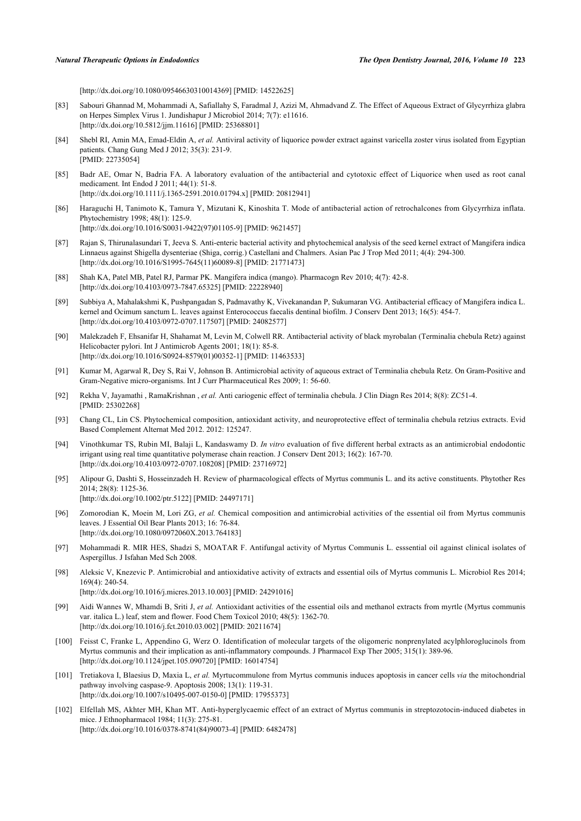[\[http://dx.doi.org/10.1080/09546630310014369\]](http://dx.doi.org/10.1080/09546630310014369) [PMID: [14522625](http://www.ncbi.nlm.nih.gov/pubmed/14522625)]

- [83] Sabouri Ghannad M, Mohammadi A, Safiallahy S, Faradmal J, Azizi M, Ahmadvand Z. The Effect of Aqueous Extract of Glycyrrhiza glabra on Herpes Simplex Virus 1. Jundishapur J Microbiol 2014; 7(7): e11616. [\[http://dx.doi.org/10.5812/jjm.11616](http://dx.doi.org/10.5812/jjm.11616)] [PMID: [25368801](http://www.ncbi.nlm.nih.gov/pubmed/25368801)]
- <span id="page-9-0"></span>[84] Shebl RI, Amin MA, Emad-Eldin A, *et al.* Antiviral activity of liquorice powder extract against varicella zoster virus isolated from Egyptian patients. Chang Gung Med J 2012; 35(3): 231-9. [PMID: [22735054\]](http://www.ncbi.nlm.nih.gov/pubmed/22735054)
- <span id="page-9-1"></span>[85] Badr AE, Omar N, Badria FA. A laboratory evaluation of the antibacterial and cytotoxic effect of Liquorice when used as root canal medicament. Int Endod J 2011; 44(1): 51-8. [\[http://dx.doi.org/10.1111/j.1365-2591.2010.01794.x\]](http://dx.doi.org/10.1111/j.1365-2591.2010.01794.x) [PMID: [20812941](http://www.ncbi.nlm.nih.gov/pubmed/20812941)]
- <span id="page-9-2"></span>[86] Haraguchi H, Tanimoto K, Tamura Y, Mizutani K, Kinoshita T. Mode of antibacterial action of retrochalcones from Glycyrrhiza inflata. Phytochemistry 1998; 48(1): 125-9. [\[http://dx.doi.org/10.1016/S0031-9422\(97\)01105-9\]](http://dx.doi.org/10.1016/S0031-9422(97)01105-9) [PMID: [9621457](http://www.ncbi.nlm.nih.gov/pubmed/9621457)]
- <span id="page-9-3"></span>[87] Rajan S, Thirunalasundari T, Jeeva S. Anti-enteric bacterial activity and phytochemical analysis of the seed kernel extract of Mangifera indica Linnaeus against Shigella dysenteriae (Shiga, corrig.) Castellani and Chalmers. Asian Pac J Trop Med 2011; 4(4): 294-300. [\[http://dx.doi.org/10.1016/S1995-7645\(11\)60089-8\]](http://dx.doi.org/10.1016/S1995-7645(11)60089-8) [PMID: [21771473](http://www.ncbi.nlm.nih.gov/pubmed/21771473)]
- <span id="page-9-4"></span>[88] Shah KA, Patel MB, Patel RJ, Parmar PK. Mangifera indica (mango). Pharmacogn Rev 2010; 4(7): 42-8. [\[http://dx.doi.org/10.4103/0973-7847.65325](http://dx.doi.org/10.4103/0973-7847.65325)] [PMID: [22228940](http://www.ncbi.nlm.nih.gov/pubmed/22228940)]
- <span id="page-9-5"></span>[89] Subbiya A, Mahalakshmi K, Pushpangadan S, Padmavathy K, Vivekanandan P, Sukumaran VG. Antibacterial efficacy of Mangifera indica L. kernel and Ocimum sanctum L. leaves against Enterococcus faecalis dentinal biofilm. J Conserv Dent 2013; 16(5): 454-7. [\[http://dx.doi.org/10.4103/0972-0707.117507](http://dx.doi.org/10.4103/0972-0707.117507)] [PMID: [24082577](http://www.ncbi.nlm.nih.gov/pubmed/24082577)]
- <span id="page-9-6"></span>[90] Malekzadeh F, Ehsanifar H, Shahamat M, Levin M, Colwell RR. Antibacterial activity of black myrobalan (Terminalia chebula Retz) against Helicobacter pylori. Int J Antimicrob Agents 2001; 18(1): 85-8. [\[http://dx.doi.org/10.1016/S0924-8579\(01\)00352-1\]](http://dx.doi.org/10.1016/S0924-8579(01)00352-1) [PMID: [11463533](http://www.ncbi.nlm.nih.gov/pubmed/11463533)]
- <span id="page-9-7"></span>[91] Kumar M, Agarwal R, Dey S, Rai V, Johnson B. Antimicrobial activity of aqueous extract of Terminalia chebula Retz. On Gram-Positive and Gram-Negative micro-organisms. Int J Curr Pharmaceutical Res 2009; 1: 56-60.
- <span id="page-9-8"></span>[92] Rekha V, Jayamathi , RamaKrishnan , *et al.* Anti cariogenic effect of terminalia chebula. J Clin Diagn Res 2014; 8(8): ZC51-4. [PMID: [25302268\]](http://www.ncbi.nlm.nih.gov/pubmed/25302268)
- <span id="page-9-9"></span>[93] Chang CL, Lin CS. Phytochemical composition, antioxidant activity, and neuroprotective effect of terminalia chebula retzius extracts. Evid Based Complement Alternat Med 2012. 2012: 125247.
- <span id="page-9-10"></span>[94] Vinothkumar TS, Rubin MI, Balaji L, Kandaswamy D. *In vitro* evaluation of five different herbal extracts as an antimicrobial endodontic irrigant using real time quantitative polymerase chain reaction. J Conserv Dent 2013; 16(2): 167-70. [\[http://dx.doi.org/10.4103/0972-0707.108208](http://dx.doi.org/10.4103/0972-0707.108208)] [PMID: [23716972](http://www.ncbi.nlm.nih.gov/pubmed/23716972)]
- <span id="page-9-11"></span>[95] Alipour G, Dashti S, Hosseinzadeh H. Review of pharmacological effects of Myrtus communis L. and its active constituents. Phytother Res 2014; 28(8): 1125-36. [\[http://dx.doi.org/10.1002/ptr.5122\]](http://dx.doi.org/10.1002/ptr.5122) [PMID: [24497171](http://www.ncbi.nlm.nih.gov/pubmed/24497171)]
- <span id="page-9-12"></span>[96] Zomorodian K, Moein M, Lori ZG, *et al.* Chemical composition and antimicrobial activities of the essential oil from Myrtus communis leaves. J Essential Oil Bear Plants 2013; 16: 76-84. [\[http://dx.doi.org/10.1080/0972060X.2013.764183\]](http://dx.doi.org/10.1080/0972060X.2013.764183)
- <span id="page-9-13"></span>[97] Mohammadi R. MIR HES, Shadzi S, MOATAR F. Antifungal activity of Myrtus Communis L. esssential oil against clinical isolates of Aspergillus. J Isfahan Med Sch 2008.
- <span id="page-9-14"></span>[98] Aleksic V, Knezevic P. Antimicrobial and antioxidative activity of extracts and essential oils of Myrtus communis L. Microbiol Res 2014; 169(4): 240-54.

[\[http://dx.doi.org/10.1016/j.micres.2013.10.003](http://dx.doi.org/10.1016/j.micres.2013.10.003)] [PMID: [24291016\]](http://www.ncbi.nlm.nih.gov/pubmed/24291016)

- <span id="page-9-15"></span>[99] Aidi Wannes W, Mhamdi B, Sriti J, *et al.* Antioxidant activities of the essential oils and methanol extracts from myrtle (Myrtus communis var. italica L.) leaf, stem and flower. Food Chem Toxicol 2010; 48(5): 1362-70. [\[http://dx.doi.org/10.1016/j.fct.2010.03.002](http://dx.doi.org/10.1016/j.fct.2010.03.002)] [PMID: [20211674](http://www.ncbi.nlm.nih.gov/pubmed/20211674)]
- <span id="page-9-16"></span>[100] Feisst C, Franke L, Appendino G, Werz O. Identification of molecular targets of the oligomeric nonprenylated acylphloroglucinols from Myrtus communis and their implication as anti-inflammatory compounds. J Pharmacol Exp Ther 2005; 315(1): 389-96. [\[http://dx.doi.org/10.1124/jpet.105.090720\]](http://dx.doi.org/10.1124/jpet.105.090720) [PMID: [16014754](http://www.ncbi.nlm.nih.gov/pubmed/16014754)]
- <span id="page-9-17"></span>[101] Tretiakova I, Blaesius D, Maxia L, *et al.* Myrtucommulone from Myrtus communis induces apoptosis in cancer cells *via* the mitochondrial pathway involving caspase-9. Apoptosis 2008; 13(1): 119-31. [\[http://dx.doi.org/10.1007/s10495-007-0150-0\]](http://dx.doi.org/10.1007/s10495-007-0150-0) [PMID: [17955373](http://www.ncbi.nlm.nih.gov/pubmed/17955373)]
- <span id="page-9-18"></span>[102] Elfellah MS, Akhter MH, Khan MT. Anti-hyperglycaemic effect of an extract of Myrtus communis in streptozotocin-induced diabetes in mice. J Ethnopharmacol 1984; 11(3): 275-81. [\[http://dx.doi.org/10.1016/0378-8741\(84\)90073-4](http://dx.doi.org/10.1016/0378-8741(84)90073-4)] [PMID: [6482478](http://www.ncbi.nlm.nih.gov/pubmed/6482478)]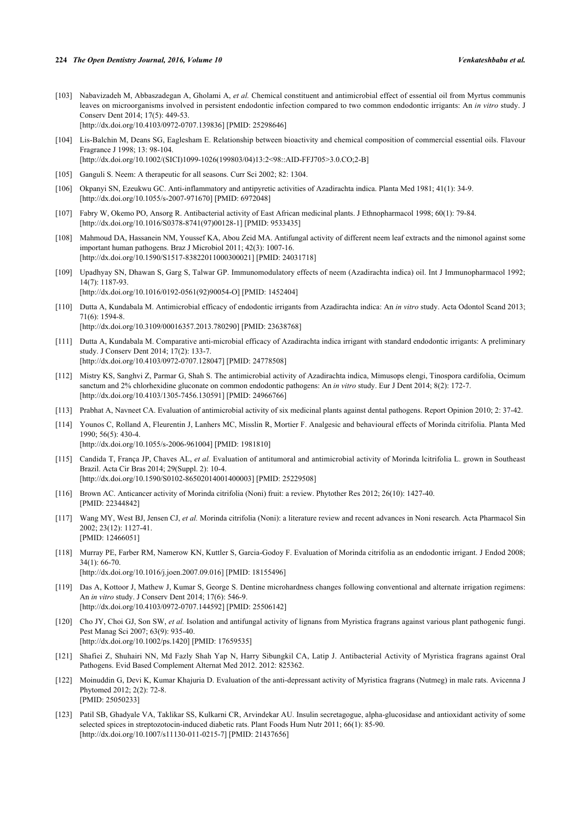- <span id="page-10-0"></span>[103] Nabavizadeh M, Abbaszadegan A, Gholami A, *et al.* Chemical constituent and antimicrobial effect of essential oil from Myrtus communis leaves on microorganisms involved in persistent endodontic infection compared to two common endodontic irrigants: An *in vitro* study. J Conserv Dent 2014; 17(5): 449-53. [\[http://dx.doi.org/10.4103/0972-0707.139836](http://dx.doi.org/10.4103/0972-0707.139836)] [PMID: [25298646](http://www.ncbi.nlm.nih.gov/pubmed/25298646)]
- <span id="page-10-1"></span>[104] Lis-Balchin M, Deans SG, Eaglesham E. Relationship between bioactivity and chemical composition of commercial essential oils. Flavour Fragrance J 1998; 13: 98-104. [\[http://dx.doi.org/10.1002/\(SICI\)1099-1026\(199803/04\)13:2<98::AID-FFJ705>3.0.CO;2-B](http://dx.doi.org/10.1002/(SICI)1099-1026(199803/04)13:2<98::AID-FFJ705>3.0.CO;2-B)]
- <span id="page-10-2"></span>[105] Ganguli S. Neem: A therapeutic for all seasons. Curr Sci 2002; 82: 1304.
- <span id="page-10-3"></span>[106] Okpanyi SN, Ezeukwu GC. Anti-inflammatory and antipyretic activities of Azadirachta indica. Planta Med 1981; 41(1): 34-9. [\[http://dx.doi.org/10.1055/s-2007-971670](http://dx.doi.org/10.1055/s-2007-971670)] [PMID: [6972048\]](http://www.ncbi.nlm.nih.gov/pubmed/6972048)
- <span id="page-10-4"></span>[107] Fabry W, Okemo PO, Ansorg R. Antibacterial activity of East African medicinal plants. J Ethnopharmacol 1998; 60(1): 79-84. [\[http://dx.doi.org/10.1016/S0378-8741\(97\)00128-1\]](http://dx.doi.org/10.1016/S0378-8741(97)00128-1) [PMID: [9533435](http://www.ncbi.nlm.nih.gov/pubmed/9533435)]
- <span id="page-10-5"></span>[108] Mahmoud DA, Hassanein NM, Youssef KA, Abou Zeid MA. Antifungal activity of different neem leaf extracts and the nimonol against some important human pathogens. Braz J Microbiol 2011; 42(3): 1007-16. [\[http://dx.doi.org/10.1590/S1517-83822011000300021\]](http://dx.doi.org/10.1590/S1517-83822011000300021) [PMID: [24031718](http://www.ncbi.nlm.nih.gov/pubmed/24031718)]
- <span id="page-10-6"></span>[109] Upadhyay SN, Dhawan S, Garg S, Talwar GP. Immunomodulatory effects of neem (Azadirachta indica) oil. Int J Immunopharmacol 1992; 14(7): 1187-93. [\[http://dx.doi.org/10.1016/0192-0561\(92\)90054-O](http://dx.doi.org/10.1016/0192-0561(92)90054-O)] [PMID: [1452404\]](http://www.ncbi.nlm.nih.gov/pubmed/1452404)
- <span id="page-10-7"></span>[110] Dutta A, Kundabala M. Antimicrobial efficacy of endodontic irrigants from Azadirachta indica: An *in vitro* study. Acta Odontol Scand 2013; 71(6): 1594-8. [\[http://dx.doi.org/10.3109/00016357.2013.780290\]](http://dx.doi.org/10.3109/00016357.2013.780290) [PMID: [23638768](http://www.ncbi.nlm.nih.gov/pubmed/23638768)]
- <span id="page-10-8"></span>[111] Dutta A, Kundabala M. Comparative anti-microbial efficacy of Azadirachta indica irrigant with standard endodontic irrigants: A preliminary study. J Conserv Dent 2014; 17(2): 133-7. [\[http://dx.doi.org/10.4103/0972-0707.128047](http://dx.doi.org/10.4103/0972-0707.128047)] [PMID: [24778508](http://www.ncbi.nlm.nih.gov/pubmed/24778508)]
- <span id="page-10-9"></span>[112] Mistry KS, Sanghvi Z, Parmar G, Shah S. The antimicrobial activity of Azadirachta indica, Mimusops elengi, Tinospora cardifolia, Ocimum sanctum and 2% chlorhexidine gluconate on common endodontic pathogens: An *in vitro* study. Eur J Dent 2014; 8(2): 172-7. [\[http://dx.doi.org/10.4103/1305-7456.130591](http://dx.doi.org/10.4103/1305-7456.130591)] [PMID: [24966766](http://www.ncbi.nlm.nih.gov/pubmed/24966766)]
- <span id="page-10-10"></span>[113] Prabhat A, Navneet CA. Evaluation of antimicrobial activity of six medicinal plants against dental pathogens. Report Opinion 2010; 2: 37-42.
- <span id="page-10-11"></span>[114] Younos C, Rolland A, Fleurentin J, Lanhers MC, Misslin R, Mortier F. Analgesic and behavioural effects of Morinda citrifolia. Planta Med 1990; 56(5): 430-4.

[\[http://dx.doi.org/10.1055/s-2006-961004](http://dx.doi.org/10.1055/s-2006-961004)] [PMID: [1981810\]](http://www.ncbi.nlm.nih.gov/pubmed/1981810)

- [115] Candida T, França JP, Chaves AL, *et al.* Evaluation of antitumoral and antimicrobial activity of Morinda lcitrifolia L. grown in Southeast Brazil. Acta Cir Bras 2014; 29(Suppl. 2): 10-4. [\[http://dx.doi.org/10.1590/S0102-86502014001400003\]](http://dx.doi.org/10.1590/S0102-86502014001400003) [PMID: [25229508](http://www.ncbi.nlm.nih.gov/pubmed/25229508)]
- <span id="page-10-19"></span>[116] Brown AC. Anticancer activity of Morinda citrifolia (Noni) fruit: a review. Phytother Res 2012; 26(10): 1427-40. [PMID: [22344842\]](http://www.ncbi.nlm.nih.gov/pubmed/22344842)
- <span id="page-10-12"></span>[117] Wang MY, West BJ, Jensen CJ, *et al.* Morinda citrifolia (Noni): a literature review and recent advances in Noni research. Acta Pharmacol Sin 2002; 23(12): 1127-41. [PMID: [12466051\]](http://www.ncbi.nlm.nih.gov/pubmed/12466051)
- <span id="page-10-13"></span>[118] Murray PE, Farber RM, Namerow KN, Kuttler S, Garcia-Godoy F. Evaluation of Morinda citrifolia as an endodontic irrigant. J Endod 2008;  $34(1)$ : 66-70. [\[http://dx.doi.org/10.1016/j.joen.2007.09.016\]](http://dx.doi.org/10.1016/j.joen.2007.09.016) [PMID: [18155496](http://www.ncbi.nlm.nih.gov/pubmed/18155496)]
- <span id="page-10-14"></span>[119] Das A, Kottoor J, Mathew J, Kumar S, George S. Dentine microhardness changes following conventional and alternate irrigation regimens: An *in vitro* study. J Conserv Dent 2014; 17(6): 546-9. [\[http://dx.doi.org/10.4103/0972-0707.144592](http://dx.doi.org/10.4103/0972-0707.144592)] [PMID: [25506142](http://www.ncbi.nlm.nih.gov/pubmed/25506142)]
- <span id="page-10-15"></span>[120] Cho JY, Choi GJ, Son SW, *et al.* Isolation and antifungal activity of lignans from Myristica fragrans against various plant pathogenic fungi. Pest Manag Sci 2007; 63(9): 935-40. [\[http://dx.doi.org/10.1002/ps.1420\]](http://dx.doi.org/10.1002/ps.1420) [PMID: [17659535](http://www.ncbi.nlm.nih.gov/pubmed/17659535)]
- <span id="page-10-16"></span>[121] Shafiei Z, Shuhairi NN, Md Fazly Shah Yap N, Harry Sibungkil CA, Latip J. Antibacterial Activity of Myristica fragrans against Oral Pathogens. Evid Based Complement Alternat Med 2012. 2012: 825362.
- <span id="page-10-17"></span>[122] Moinuddin G, Devi K, Kumar Khajuria D. Evaluation of the anti-depressant activity of Myristica fragrans (Nutmeg) in male rats. Avicenna J Phytomed 2012; 2(2): 72-8. [PMID: [25050233\]](http://www.ncbi.nlm.nih.gov/pubmed/25050233)
- <span id="page-10-18"></span>[123] Patil SB, Ghadyale VA, Taklikar SS, Kulkarni CR, Arvindekar AU. Insulin secretagogue, alpha-glucosidase and antioxidant activity of some selected spices in streptozotocin-induced diabetic rats. Plant Foods Hum Nutr 2011; 66(1): 85-90. [\[http://dx.doi.org/10.1007/s11130-011-0215-7\]](http://dx.doi.org/10.1007/s11130-011-0215-7) [PMID: [21437656](http://www.ncbi.nlm.nih.gov/pubmed/21437656)]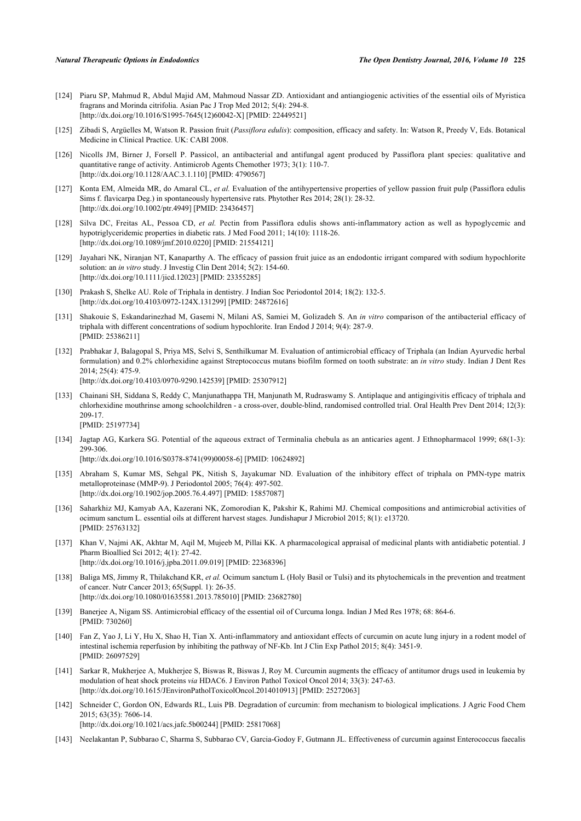- <span id="page-11-0"></span>[124] Piaru SP, Mahmud R, Abdul Majid AM, Mahmoud Nassar ZD. Antioxidant and antiangiogenic activities of the essential oils of Myristica fragrans and Morinda citrifolia. Asian Pac J Trop Med 2012; 5(4): 294-8. [\[http://dx.doi.org/10.1016/S1995-7645\(12\)60042-X\]](http://dx.doi.org/10.1016/S1995-7645(12)60042-X) [PMID: [22449521](http://www.ncbi.nlm.nih.gov/pubmed/22449521)]
- <span id="page-11-1"></span>[125] Zibadi S, Argüelles M, Watson R. Passion fruit (*Passiflora edulis*): composition, efficacy and safety. In: Watson R, Preedy V, Eds. Botanical Medicine in Clinical Practice. UK: CABI 2008.
- <span id="page-11-2"></span>[126] Nicolls JM, Birner J, Forsell P. Passicol, an antibacterial and antifungal agent produced by Passiflora plant species: qualitative and quantitative range of activity. Antimicrob Agents Chemother 1973; 3(1): 110-7. [\[http://dx.doi.org/10.1128/AAC.3.1.110\]](http://dx.doi.org/10.1128/AAC.3.1.110) [PMID: [4790567](http://www.ncbi.nlm.nih.gov/pubmed/4790567)]
- <span id="page-11-3"></span>[127] Konta EM, Almeida MR, do Amaral CL, *et al.* Evaluation of the antihypertensive properties of yellow passion fruit pulp (Passiflora edulis Sims f. flavicarpa Deg.) in spontaneously hypertensive rats. Phytother Res 2014; 28(1): 28-32. [\[http://dx.doi.org/10.1002/ptr.4949\]](http://dx.doi.org/10.1002/ptr.4949) [PMID: [23436457](http://www.ncbi.nlm.nih.gov/pubmed/23436457)]
- <span id="page-11-4"></span>[128] Silva DC, Freitas AL, Pessoa CD, *et al.* Pectin from Passiflora edulis shows anti-inflammatory action as well as hypoglycemic and hypotriglyceridemic properties in diabetic rats. J Med Food 2011; 14(10): 1118-26. [\[http://dx.doi.org/10.1089/jmf.2010.0220\]](http://dx.doi.org/10.1089/jmf.2010.0220) [PMID: [21554121](http://www.ncbi.nlm.nih.gov/pubmed/21554121)]
- <span id="page-11-5"></span>[129] Jayahari NK, Niranjan NT, Kanaparthy A. The efficacy of passion fruit juice as an endodontic irrigant compared with sodium hypochlorite solution: an *in vitro* study. J Investig Clin Dent 2014; 5(2): 154-60. [\[http://dx.doi.org/10.1111/jicd.12023\]](http://dx.doi.org/10.1111/jicd.12023) [PMID: [23355285](http://www.ncbi.nlm.nih.gov/pubmed/23355285)]
- <span id="page-11-6"></span>[130] Prakash S, Shelke AU. Role of Triphala in dentistry. J Indian Soc Periodontol 2014; 18(2): 132-5. [\[http://dx.doi.org/10.4103/0972-124X.131299](http://dx.doi.org/10.4103/0972-124X.131299)] [PMID: [24872616\]](http://www.ncbi.nlm.nih.gov/pubmed/24872616)
- <span id="page-11-7"></span>[131] Shakouie S, Eskandarinezhad M, Gasemi N, Milani AS, Samiei M, Golizadeh S. An *in vitro* comparison of the antibacterial efficacy of triphala with different concentrations of sodium hypochlorite. Iran Endod J 2014; 9(4): 287-9. [PMID: [25386211\]](http://www.ncbi.nlm.nih.gov/pubmed/25386211)
- <span id="page-11-8"></span>[132] Prabhakar J, Balagopal S, Priya MS, Selvi S, Senthilkumar M. Evaluation of antimicrobial efficacy of Triphala (an Indian Ayurvedic herbal formulation) and 0.2% chlorhexidine against Streptococcus mutans biofilm formed on tooth substrate: an *in vitro* study. Indian J Dent Res 2014; 25(4): 475-9. [\[http://dx.doi.org/10.4103/0970-9290.142539](http://dx.doi.org/10.4103/0970-9290.142539)] [PMID: [25307912](http://www.ncbi.nlm.nih.gov/pubmed/25307912)]
	-
- <span id="page-11-9"></span>[133] Chainani SH, Siddana S, Reddy C, Manjunathappa TH, Manjunath M, Rudraswamy S. Antiplaque and antigingivitis efficacy of triphala and chlorhexidine mouthrinse among schoolchildren - a cross-over, double-blind, randomised controlled trial. Oral Health Prev Dent 2014; 12(3): 209-17. [PMID: [25197734\]](http://www.ncbi.nlm.nih.gov/pubmed/25197734)
- <span id="page-11-10"></span>[134] Jagtap AG, Karkera SG. Potential of the aqueous extract of Terminalia chebula as an anticaries agent. J Ethnopharmacol 1999; 68(1-3): 299-306. [\[http://dx.doi.org/10.1016/S0378-8741\(99\)00058-6\]](http://dx.doi.org/10.1016/S0378-8741(99)00058-6) [PMID: [10624892](http://www.ncbi.nlm.nih.gov/pubmed/10624892)]
	-
- <span id="page-11-11"></span>[135] Abraham S, Kumar MS, Sehgal PK, Nitish S, Jayakumar ND. Evaluation of the inhibitory effect of triphala on PMN-type matrix metalloproteinase (MMP-9). J Periodontol 2005; 76(4): 497-502. [\[http://dx.doi.org/10.1902/jop.2005.76.4.497](http://dx.doi.org/10.1902/jop.2005.76.4.497)] [PMID: [15857087\]](http://www.ncbi.nlm.nih.gov/pubmed/15857087)
- <span id="page-11-12"></span>[136] Saharkhiz MJ, Kamyab AA, Kazerani NK, Zomorodian K, Pakshir K, Rahimi MJ. Chemical compositions and antimicrobial activities of ocimum sanctum L. essential oils at different harvest stages. Jundishapur J Microbiol 2015; 8(1): e13720. [PMID: [25763132\]](http://www.ncbi.nlm.nih.gov/pubmed/25763132)
- <span id="page-11-13"></span>[137] Khan V, Najmi AK, Akhtar M, Aqil M, Mujeeb M, Pillai KK. A pharmacological appraisal of medicinal plants with antidiabetic potential. J Pharm Bioallied Sci 2012; 4(1): 27-42. [\[http://dx.doi.org/10.1016/j.jpba.2011.09.019\]](http://dx.doi.org/10.1016/j.jpba.2011.09.019) [PMID: [22368396](http://www.ncbi.nlm.nih.gov/pubmed/22368396)]
- <span id="page-11-14"></span>[138] Baliga MS, Jimmy R, Thilakchand KR, *et al.* Ocimum sanctum L (Holy Basil or Tulsi) and its phytochemicals in the prevention and treatment of cancer. Nutr Cancer 2013; 65(Suppl. 1): 26-35. [\[http://dx.doi.org/10.1080/01635581.2013.785010\]](http://dx.doi.org/10.1080/01635581.2013.785010) [PMID: [23682780](http://www.ncbi.nlm.nih.gov/pubmed/23682780)]
- <span id="page-11-15"></span>[139] Banerjee A, Nigam SS. Antimicrobial efficacy of the essential oil of Curcuma longa. Indian J Med Res 1978; 68: 864-6. [PMID: [730260\]](http://www.ncbi.nlm.nih.gov/pubmed/730260)
- <span id="page-11-16"></span>[140] Fan Z, Yao J, Li Y, Hu X, Shao H, Tian X. Anti-inflammatory and antioxidant effects of curcumin on acute lung injury in a rodent model of intestinal ischemia reperfusion by inhibiting the pathway of NF-Kb. Int J Clin Exp Pathol 2015; 8(4): 3451-9. [PMID: [26097529\]](http://www.ncbi.nlm.nih.gov/pubmed/26097529)
- <span id="page-11-17"></span>[141] Sarkar R, Mukherjee A, Mukherjee S, Biswas R, Biswas J, Roy M. Curcumin augments the efficacy of antitumor drugs used in leukemia by modulation of heat shock proteins *via* HDAC6. J Environ Pathol Toxicol Oncol 2014; 33(3): 247-63. [\[http://dx.doi.org/10.1615/JEnvironPatholToxicolOncol.2014010913\]](http://dx.doi.org/10.1615/JEnvironPatholToxicolOncol.2014010913) [PMID: [25272063](http://www.ncbi.nlm.nih.gov/pubmed/25272063)]
- <span id="page-11-18"></span>[142] Schneider C, Gordon ON, Edwards RL, Luis PB. Degradation of curcumin: from mechanism to biological implications. J Agric Food Chem 2015; 63(35): 7606-14. [\[http://dx.doi.org/10.1021/acs.jafc.5b00244](http://dx.doi.org/10.1021/acs.jafc.5b00244)] [PMID: [25817068\]](http://www.ncbi.nlm.nih.gov/pubmed/25817068)
- <span id="page-11-19"></span>[143] Neelakantan P, Subbarao C, Sharma S, Subbarao CV, Garcia-Godoy F, Gutmann JL. Effectiveness of curcumin against Enterococcus faecalis